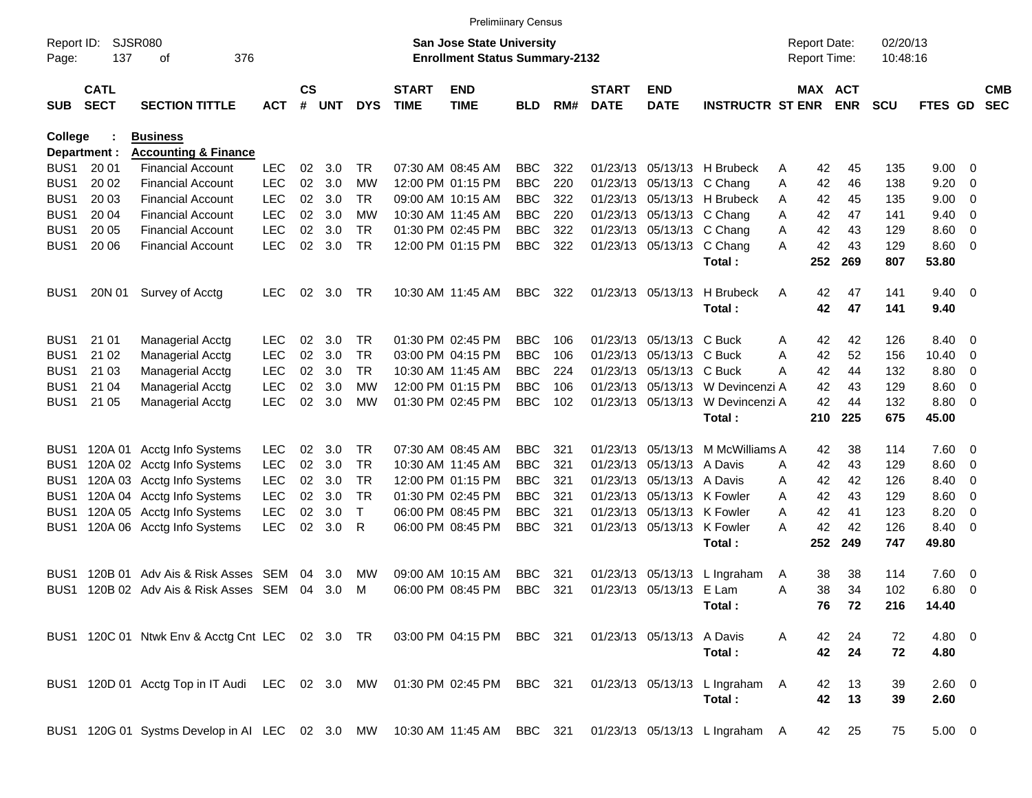|                     |                            |                                                                           |            |                    |     |            |                             | <b>Prelimiinary Census</b>                                                |            |     |                             |                            |                                  |                                     |            |                      |                        |                          |                          |
|---------------------|----------------------------|---------------------------------------------------------------------------|------------|--------------------|-----|------------|-----------------------------|---------------------------------------------------------------------------|------------|-----|-----------------------------|----------------------------|----------------------------------|-------------------------------------|------------|----------------------|------------------------|--------------------------|--------------------------|
| Report ID:<br>Page: | 137                        | <b>SJSR080</b><br>376<br>οf                                               |            |                    |     |            |                             | <b>San Jose State University</b><br><b>Enrollment Status Summary-2132</b> |            |     |                             |                            |                                  | <b>Report Date:</b><br>Report Time: |            | 02/20/13<br>10:48:16 |                        |                          |                          |
| <b>SUB</b>          | <b>CATL</b><br><b>SECT</b> | <b>SECTION TITTLE</b>                                                     | <b>ACT</b> | $\mathsf{cs}$<br># | UNT | <b>DYS</b> | <b>START</b><br><b>TIME</b> | <b>END</b><br><b>TIME</b>                                                 | <b>BLD</b> | RM# | <b>START</b><br><b>DATE</b> | <b>END</b><br><b>DATE</b>  | <b>INSTRUCTR ST ENR</b>          | MAX ACT                             | <b>ENR</b> | <b>SCU</b>           | FTES GD                |                          | <b>CMB</b><br><b>SEC</b> |
| College             |                            | <b>Business</b>                                                           |            |                    |     |            |                             |                                                                           |            |     |                             |                            |                                  |                                     |            |                      |                        |                          |                          |
|                     | Department :               | <b>Accounting &amp; Finance</b>                                           |            |                    |     |            |                             |                                                                           |            |     |                             |                            |                                  |                                     |            |                      |                        |                          |                          |
| BUS <sub>1</sub>    | 20 01                      | <b>Financial Account</b>                                                  | <b>LEC</b> | 02                 | 3.0 | TR.        |                             | 07:30 AM 08:45 AM                                                         | <b>BBC</b> | 322 |                             |                            | 01/23/13 05/13/13 H Brubeck      | 42<br>Α                             | 45         | 135                  | 9.00                   | - 0                      |                          |
| BUS <sub>1</sub>    | 20 02                      | <b>Financial Account</b>                                                  | <b>LEC</b> | 02                 | 3.0 | МW         |                             | 12:00 PM 01:15 PM                                                         | <b>BBC</b> | 220 |                             | 01/23/13 05/13/13 C Chang  |                                  | 42<br>Α                             | 46         | 138                  | 9.20                   | $\overline{0}$           |                          |
| BUS <sub>1</sub>    | 20 03                      | <b>Financial Account</b>                                                  | <b>LEC</b> | 02                 | 3.0 | TR.        |                             | 09:00 AM 10:15 AM                                                         | <b>BBC</b> | 322 |                             |                            | 01/23/13 05/13/13 H Brubeck      | 42<br>A                             | 45         | 135                  | 9.00                   | 0                        |                          |
| BUS <sub>1</sub>    | 20 04                      | <b>Financial Account</b>                                                  | <b>LEC</b> | 02                 | 3.0 | МW         |                             | 10:30 AM 11:45 AM                                                         | <b>BBC</b> | 220 |                             | 01/23/13 05/13/13 C Chang  |                                  | 42<br>Α                             | 47         | 141                  | 9.40                   | 0                        |                          |
| BUS <sub>1</sub>    | 20 05                      | <b>Financial Account</b>                                                  | <b>LEC</b> | 02                 | 3.0 | <b>TR</b>  |                             | 01:30 PM 02:45 PM                                                         | <b>BBC</b> | 322 |                             | 01/23/13 05/13/13 C Chang  |                                  | 42<br>Α                             | 43         | 129                  | 8.60                   | $\overline{\mathbf{0}}$  |                          |
| BUS <sub>1</sub>    | 20 06                      | <b>Financial Account</b>                                                  | <b>LEC</b> | 02                 | 3.0 | <b>TR</b>  |                             | 12:00 PM 01:15 PM                                                         | <b>BBC</b> | 322 |                             | 01/23/13 05/13/13 C Chang  | Total:                           | 42<br>Α<br>252                      | 43<br>269  | 129<br>807           | 8.60 0<br>53.80        |                          |                          |
| BUS <sub>1</sub>    | 20N 01                     | Survey of Acctg                                                           | <b>LEC</b> | 02                 | 3.0 | TR         |                             | 10:30 AM 11:45 AM                                                         | BBC.       | 322 |                             | 01/23/13 05/13/13          | H Brubeck<br>Total:              | 42<br>Α<br>42                       | 47<br>47   | 141<br>141           | $9.40 \quad 0$<br>9.40 |                          |                          |
|                     |                            |                                                                           |            |                    |     |            |                             |                                                                           |            |     |                             |                            |                                  |                                     |            |                      |                        |                          |                          |
| BUS <sub>1</sub>    | 21 01                      | <b>Managerial Acctg</b>                                                   | <b>LEC</b> | 02                 | 3.0 | TR.        |                             | 01:30 PM 02:45 PM                                                         | <b>BBC</b> | 106 |                             | 01/23/13 05/13/13 C Buck   |                                  | 42<br>Α                             | 42         | 126                  | 8.40                   | $\overline{\phantom{0}}$ |                          |
| BUS <sub>1</sub>    | 21 02                      | Managerial Acctg                                                          | <b>LEC</b> | 02                 | 3.0 | <b>TR</b>  |                             | 03:00 PM 04:15 PM                                                         | <b>BBC</b> | 106 |                             | 01/23/13 05/13/13 C Buck   |                                  | Α<br>42                             | 52         | 156                  | 10.40                  | - 0                      |                          |
| BUS <sub>1</sub>    | 21 03                      | Managerial Acctg                                                          | <b>LEC</b> | 02                 | 3.0 | <b>TR</b>  |                             | 10:30 AM 11:45 AM                                                         | <b>BBC</b> | 224 |                             | 01/23/13 05/13/13 C Buck   |                                  | 42<br>A                             | 44         | 132                  | 8.80                   | 0                        |                          |
| BUS <sub>1</sub>    | 21 04                      | Managerial Acctg                                                          | <b>LEC</b> | 02                 | 3.0 | МW         |                             | 12:00 PM 01:15 PM                                                         | <b>BBC</b> | 106 |                             |                            | 01/23/13 05/13/13 W Devincenzi A | 42                                  | 43         | 129                  | 8.60                   | 0                        |                          |
| BUS <sub>1</sub>    | 21 05                      | Managerial Acctg                                                          | <b>LEC</b> | 02                 | 3.0 | МW         |                             | 01:30 PM 02:45 PM                                                         | <b>BBC</b> | 102 |                             | 01/23/13 05/13/13          | W Devincenzi A                   | 42                                  | 44         | 132                  | 8.80                   | $\overline{\phantom{0}}$ |                          |
|                     |                            |                                                                           |            |                    |     |            |                             |                                                                           |            |     |                             |                            | Total:                           | 210                                 | 225        | 675                  | 45.00                  |                          |                          |
| BUS <sub>1</sub>    |                            | 120A 01 Acctg Info Systems                                                | <b>LEC</b> | 02                 | 3.0 | TR         |                             | 07:30 AM 08:45 AM                                                         | <b>BBC</b> | 321 |                             | 01/23/13 05/13/13          | M McWilliams A                   | 42                                  | 38         | 114                  | 7.60 0                 |                          |                          |
| BUS1                |                            | 120A 02 Acctg Info Systems                                                | <b>LEC</b> | 02                 | 3.0 | <b>TR</b>  |                             | 10:30 AM 11:45 AM                                                         | <b>BBC</b> | 321 |                             | 01/23/13 05/13/13 A Davis  |                                  | 42<br>Α                             | 43         | 129                  | 8.60                   | $\overline{\mathbf{0}}$  |                          |
| BUS1                |                            | 120A 03 Acctg Info Systems                                                | <b>LEC</b> | 02                 | 3.0 | <b>TR</b>  |                             | 12:00 PM 01:15 PM                                                         | <b>BBC</b> | 321 |                             | 01/23/13 05/13/13 A Davis  |                                  | 42<br>A                             | 42         | 126                  | 8.40                   | 0                        |                          |
| BUS1                |                            | 120A 04 Acctg Info Systems                                                | <b>LEC</b> | 02                 | 3.0 | <b>TR</b>  |                             | 01:30 PM 02:45 PM                                                         | <b>BBC</b> | 321 |                             | 01/23/13 05/13/13 K Fowler |                                  | 42<br>A                             | 43         | 129                  | 8.60                   | 0                        |                          |
| BUS1                |                            | 120A 05 Acctg Info Systems                                                | <b>LEC</b> | 02                 | 3.0 | Τ          |                             | 06:00 PM 08:45 PM                                                         | <b>BBC</b> | 321 |                             | 01/23/13 05/13/13 K Fowler |                                  | 42<br>A                             | 41         | 123                  | 8.20                   | 0                        |                          |
| BUS1                |                            | 120A 06 Acctg Info Systems                                                | <b>LEC</b> | 02                 | 3.0 | R          |                             | 06:00 PM 08:45 PM                                                         | <b>BBC</b> | 321 |                             | 01/23/13 05/13/13 K Fowler |                                  | 42<br>А                             | 42         | 126                  | 8.40                   | - 0                      |                          |
|                     |                            |                                                                           |            |                    |     |            |                             |                                                                           |            |     |                             |                            | Total:                           | 252                                 | 249        | 747                  | 49.80                  |                          |                          |
| BUS1                | 120B 01                    | Adv Ais & Risk Asses                                                      | SEM        | 04                 | 3.0 | МW         |                             | 09:00 AM 10:15 AM                                                         | <b>BBC</b> | 321 |                             | 01/23/13 05/13/13          | L Ingraham                       | 38<br>A                             | 38         | 114                  | $7.60 \quad 0$         |                          |                          |
| BUS1                |                            | 120B 02 Adv Ais & Risk Asses SEM                                          |            | 04                 | 3.0 | M          |                             | 06:00 PM 08:45 PM                                                         | <b>BBC</b> | 321 |                             | 01/23/13 05/13/13 E Lam    |                                  | 38<br>Α                             | 34         | 102                  | 6.80                   | $\overline{\phantom{0}}$ |                          |
|                     |                            |                                                                           |            |                    |     |            |                             |                                                                           |            |     |                             |                            | Total:                           |                                     | 76 72      | 216                  | 14.40                  |                          |                          |
|                     |                            | BUS1 120C 01 Ntwk Env & Acctg Cnt LEC 02 3.0 TR 03:00 PM 04:15 PM BBC 321 |            |                    |     |            |                             |                                                                           |            |     |                             | 01/23/13 05/13/13 A Davis  |                                  | A<br>42                             | 24         | 72                   | 4.80 0                 |                          |                          |
|                     |                            |                                                                           |            |                    |     |            |                             |                                                                           |            |     |                             |                            | Total:                           |                                     | 42 24      | 72                   | 4.80                   |                          |                          |
|                     |                            | BUS1 120D 01 Acctg Top in IT Audi LEC 02 3.0 MW 01:30 PM 02:45 PM BBC 321 |            |                    |     |            |                             |                                                                           |            |     |                             |                            | 01/23/13 05/13/13 L Ingraham A   | 42                                  | 13         | 39                   | 2.60 0                 |                          |                          |
|                     |                            |                                                                           |            |                    |     |            |                             |                                                                           |            |     |                             |                            | Total:                           | 42                                  | 13         | 39                   | 2.60                   |                          |                          |
|                     |                            | BUS1 120G 01 Systms Develop in AI LEC 02 3.0 MW 10:30 AM 11:45 AM BBC 321 |            |                    |     |            |                             |                                                                           |            |     |                             |                            | 01/23/13 05/13/13 L Ingraham A   |                                     | 42 25      | 75                   | $5.00 \t 0$            |                          |                          |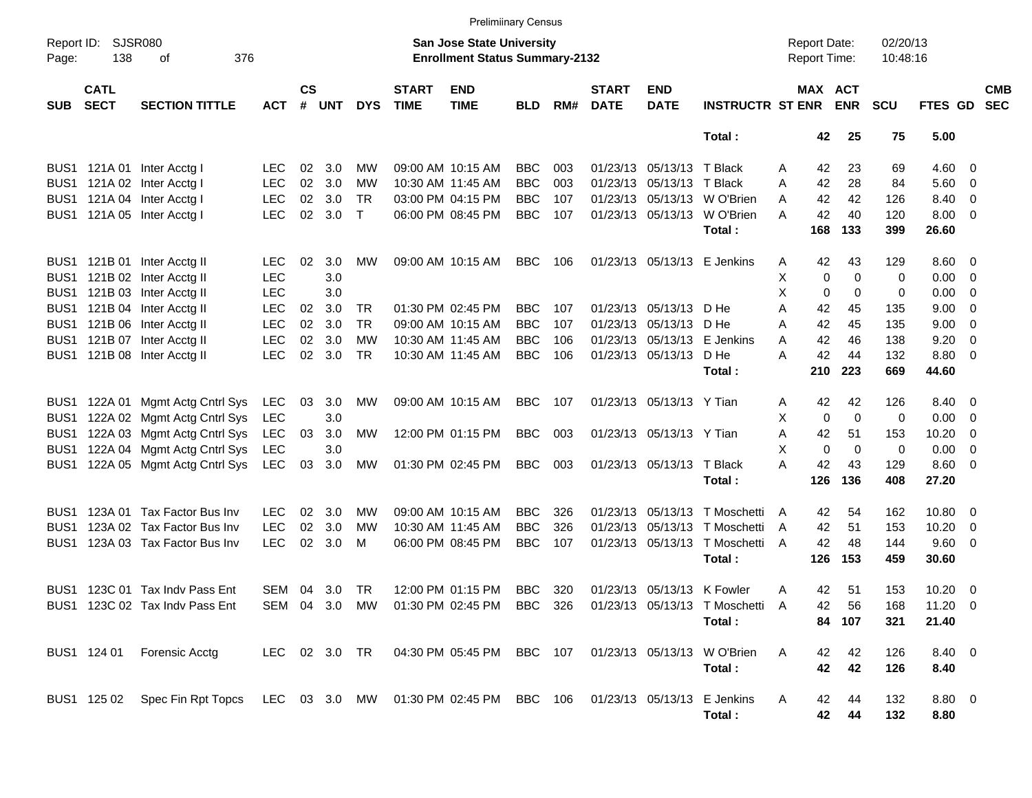|                     |                            |                                                                                                    |            |               |       |              |                             | <b>Prelimiinary Census</b>                                                 |            |     |                             |                            |                                                                         |   |                                     |             |                      |                |                          |                          |
|---------------------|----------------------------|----------------------------------------------------------------------------------------------------|------------|---------------|-------|--------------|-----------------------------|----------------------------------------------------------------------------|------------|-----|-----------------------------|----------------------------|-------------------------------------------------------------------------|---|-------------------------------------|-------------|----------------------|----------------|--------------------------|--------------------------|
| Report ID:<br>Page: | <b>SJSR080</b><br>138      | 376<br>οf                                                                                          |            |               |       |              |                             | <b>San Jose State University</b><br><b>Enrollment Status Summary-2132</b>  |            |     |                             |                            |                                                                         |   | <b>Report Date:</b><br>Report Time: |             | 02/20/13<br>10:48:16 |                |                          |                          |
| <b>SUB</b>          | <b>CATL</b><br><b>SECT</b> | <b>SECTION TITTLE</b>                                                                              | <b>ACT</b> | $\mathsf{cs}$ | # UNT | <b>DYS</b>   | <b>START</b><br><b>TIME</b> | <b>END</b><br><b>TIME</b>                                                  | <b>BLD</b> | RM# | <b>START</b><br><b>DATE</b> | <b>END</b><br><b>DATE</b>  | <b>INSTRUCTR ST ENR</b>                                                 |   | MAX ACT                             | <b>ENR</b>  | <b>SCU</b>           | FTES GD        |                          | <b>CMB</b><br><b>SEC</b> |
|                     |                            |                                                                                                    |            |               |       |              |                             |                                                                            |            |     |                             |                            | Total:                                                                  |   | 42                                  | 25          | 75                   | 5.00           |                          |                          |
|                     |                            | BUS1 121A 01 Inter Acctg I                                                                         | <b>LEC</b> | 02            | 3.0   | MW           |                             | 09:00 AM 10:15 AM                                                          | <b>BBC</b> | 003 |                             | 01/23/13 05/13/13 T Black  |                                                                         | Α | 42                                  | 23          | 69                   | $4.60 \quad 0$ |                          |                          |
|                     |                            | BUS1 121A 02 Inter Acctg I                                                                         | <b>LEC</b> | 02            | 3.0   | MW           |                             | 10:30 AM 11:45 AM                                                          | <b>BBC</b> | 003 |                             | 01/23/13 05/13/13 T Black  |                                                                         | A | 42                                  | 28          | 84                   | 5.60 0         |                          |                          |
|                     |                            | BUS1 121A 04 Inter Acctg I                                                                         | <b>LEC</b> | 02            | 3.0   | <b>TR</b>    |                             | 03:00 PM 04:15 PM                                                          | <b>BBC</b> | 107 |                             |                            | 01/23/13 05/13/13 W O'Brien                                             | A | 42                                  | 42          | 126                  | 8.40 0         |                          |                          |
|                     |                            | BUS1 121A 05 Inter Acctg I                                                                         | <b>LEC</b> | 02            | 3.0   | $\mathsf{T}$ |                             | 06:00 PM 08:45 PM                                                          | <b>BBC</b> | 107 |                             |                            | 01/23/13 05/13/13 W O'Brien                                             | Α | 42                                  | 40          | 120                  | $8.00 \t 0$    |                          |                          |
|                     |                            |                                                                                                    |            |               |       |              |                             |                                                                            |            |     |                             |                            | Total:                                                                  |   | 168                                 | 133         | 399                  | 26.60          |                          |                          |
|                     |                            | BUS1 121B 01 Inter Acctg II                                                                        | <b>LEC</b> | 02            | 3.0   | MW           |                             | 09:00 AM 10:15 AM                                                          | BBC        | 106 |                             |                            | 01/23/13 05/13/13 E Jenkins                                             | Α | 42                                  | 43          | 129                  | $8.60 \quad 0$ |                          |                          |
|                     |                            | BUS1 121B 02 Inter Acctg II                                                                        | <b>LEC</b> |               | 3.0   |              |                             |                                                                            |            |     |                             |                            |                                                                         | х | 0                                   | $\mathbf 0$ | 0                    | $0.00 \t 0$    |                          |                          |
|                     |                            | BUS1 121B 03 Inter Acctg II                                                                        | <b>LEC</b> |               | 3.0   |              |                             |                                                                            |            |     |                             |                            |                                                                         | X | 0                                   | $\mathbf 0$ | 0                    | $0.00 \t 0$    |                          |                          |
|                     |                            | BUS1 121B 04 Inter Acctg II                                                                        | <b>LEC</b> | 02            | 3.0   | <b>TR</b>    |                             | 01:30 PM 02:45 PM                                                          | <b>BBC</b> | 107 |                             | 01/23/13 05/13/13 D He     |                                                                         | Α | 42                                  | 45          | 135                  | 9.00           | $\overline{\phantom{0}}$ |                          |
|                     |                            | BUS1 121B 06 Inter Acctg II                                                                        | <b>LEC</b> | 02            | 3.0   | <b>TR</b>    |                             | 09:00 AM 10:15 AM                                                          | <b>BBC</b> | 107 |                             | 01/23/13 05/13/13 D He     |                                                                         | Α | 42                                  | 45          | 135                  | 9.00           | $\overline{\phantom{0}}$ |                          |
|                     |                            | BUS1 121B 07 Inter Acctg II                                                                        | <b>LEC</b> | 02            | 3.0   | MW           |                             | 10:30 AM 11:45 AM                                                          | <b>BBC</b> | 106 |                             |                            | 01/23/13 05/13/13 E Jenkins                                             | Α | 42                                  | 46          | 138                  | 9.20           | $\overline{\phantom{0}}$ |                          |
|                     |                            | BUS1 121B 08 Inter Acctg II                                                                        | <b>LEC</b> | 02            | 3.0   | <b>TR</b>    |                             | 10:30 AM 11:45 AM                                                          | <b>BBC</b> | 106 |                             | 01/23/13 05/13/13          | D He                                                                    | A | 42                                  | 44          | 132                  | 8.80 0         |                          |                          |
|                     |                            |                                                                                                    |            |               |       |              |                             |                                                                            |            |     |                             |                            | Total:                                                                  |   | 210                                 | 223         | 669                  | 44.60          |                          |                          |
| BUS <sub>1</sub>    |                            | 122A 01 Mgmt Actg Cntrl Sys                                                                        | LEC        | 03            | 3.0   | МW           |                             | 09:00 AM 10:15 AM                                                          | BBC        | 107 |                             | 01/23/13 05/13/13 Y Tian   |                                                                         | Α | 42                                  | 42          | 126                  | 8.40 0         |                          |                          |
| BUS <sub>1</sub>    |                            | 122A 02 Mgmt Actg Cntrl Sys                                                                        | LEC        |               | 3.0   |              |                             |                                                                            |            |     |                             |                            |                                                                         | х | $\mathbf 0$                         | $\mathbf 0$ | 0                    | $0.00 \t 0$    |                          |                          |
| BUS1                |                            | 122A 03 Mgmt Actg Cntrl Sys                                                                        | LEC        | 03            | 3.0   | MW           |                             | 12:00 PM 01:15 PM                                                          | <b>BBC</b> | 003 |                             | 01/23/13 05/13/13 Y Tian   |                                                                         | A | 42                                  | 51          | 153                  | 10.20          | $\overline{\phantom{0}}$ |                          |
| BUS1                |                            | 122A 04 Mgmt Actg Cntrl Sys                                                                        | LEC        |               | 3.0   |              |                             |                                                                            |            |     |                             |                            |                                                                         | X | 0                                   | $\mathbf 0$ | 0                    | $0.00 \t 0$    |                          |                          |
| BUS1                |                            | 122A 05 Mgmt Actg Cntrl Sys                                                                        | LEC        | 03            | 3.0   | МW           |                             | 01:30 PM 02:45 PM                                                          | <b>BBC</b> | 003 |                             | 01/23/13 05/13/13 T Black  |                                                                         | А | 42                                  | 43          | 129                  | $8.60 \quad 0$ |                          |                          |
|                     |                            |                                                                                                    |            |               |       |              |                             |                                                                            |            |     |                             |                            | Total:                                                                  |   | 126                                 | 136         | 408                  | 27.20          |                          |                          |
| BUS1                |                            | 123A 01 Tax Factor Bus Inv                                                                         | LEC.       | 02            | 3.0   | МW           |                             | 09:00 AM 10:15 AM                                                          | <b>BBC</b> | 326 |                             |                            | 01/23/13 05/13/13 T Moschetti                                           | A | 42                                  | 54          | 162                  | 10.80 0        |                          |                          |
| BUS1                |                            | 123A 02 Tax Factor Bus Inv                                                                         | <b>LEC</b> | 02            | 3.0   | MW           |                             | 10:30 AM 11:45 AM                                                          | <b>BBC</b> | 326 |                             |                            | 01/23/13 05/13/13 T Moschetti                                           | A | 42                                  | 51          | 153                  | 10.20          | $\overline{\phantom{0}}$ |                          |
| BUS1                |                            | 123A 03 Tax Factor Bus Inv                                                                         | <b>LEC</b> | 02            | 3.0   | м            |                             | 06:00 PM 08:45 PM                                                          | <b>BBC</b> | 107 |                             |                            | 01/23/13 05/13/13 T Moschetti                                           | A | 42                                  | 48          | 144                  | 9.60 0         |                          |                          |
|                     |                            |                                                                                                    |            |               |       |              |                             |                                                                            |            |     |                             |                            | Total:                                                                  |   | 126                                 | 153         | 459                  | 30.60          |                          |                          |
|                     |                            | BUS1 123C 01 Tax Indy Pass Ent                                                                     | SEM        | 04            | 3.0   | TR           |                             | 12:00 PM 01:15 PM                                                          | BBC        | 320 |                             | 01/23/13 05/13/13 K Fowler |                                                                         | Α | 42                                  | 51          | 153                  | $10.20 \t 0$   |                          |                          |
|                     |                            | BUS1 123C 02 Tax Indv Pass Ent                                                                     |            |               |       |              |                             |                                                                            |            |     |                             |                            | SEM 04 3.0 MW 01:30 PM 02:45 PM BBC 326 01/23/13 05/13/13 T Moschetti A |   | 42                                  | 56          | 168                  | $11.20 \t 0$   |                          |                          |
|                     |                            |                                                                                                    |            |               |       |              |                             |                                                                            |            |     |                             |                            | Total:                                                                  |   |                                     | 84 107      | 321                  | 21.40          |                          |                          |
|                     | BUS1 124 01                | Forensic Acctg                                                                                     |            |               |       |              |                             | LEC 02 3.0 TR  04:30 PM 05:45 PM  BBC  107  01/23/13  05/13/13  W  O'Brien |            |     |                             |                            |                                                                         | A | 42                                  | 42          | 126                  | 8.40 0         |                          |                          |
|                     |                            |                                                                                                    |            |               |       |              |                             |                                                                            |            |     |                             |                            | Total:                                                                  |   | 42                                  | 42          | 126                  | 8.40           |                          |                          |
|                     |                            | BUS1 125 02 Spec Fin Rpt Topcs LEC 03 3.0 MW 01:30 PM 02:45 PM BBC 106 01/23/13 05/13/13 E Jenkins |            |               |       |              |                             |                                                                            |            |     |                             |                            |                                                                         | A | 42                                  | 44          | 132                  | 8.80 0         |                          |                          |
|                     |                            |                                                                                                    |            |               |       |              |                             |                                                                            |            |     |                             |                            | Total:                                                                  |   | 42                                  | 44          | 132                  | 8.80           |                          |                          |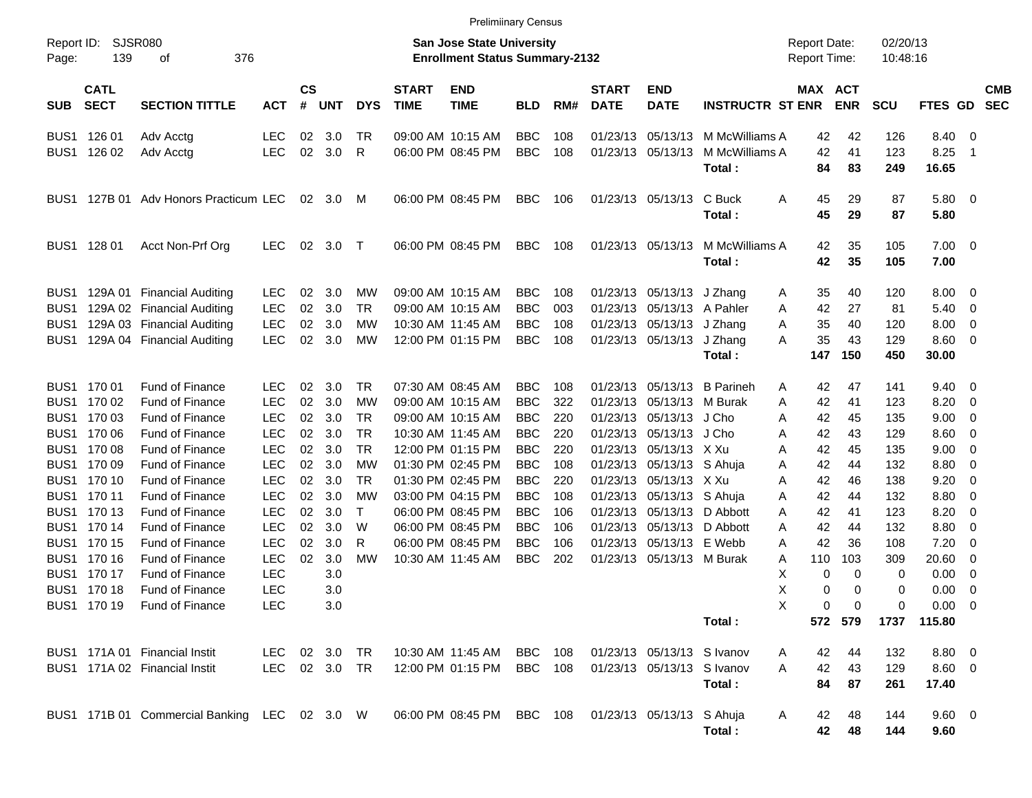| Report ID:<br>Page:                                                          | 139                                                                                                                                                                                                  | SJSR080<br>376<br>οf                                                                                                                                                                                                                                                                                                                                                                               |                                                                                                                                                                                                  |                                                                      |                                                                                                       |                                                                                                                                                 |                             | <b>San Jose State University</b><br><b>Enrollment Status Summary-2132</b>                                                                                                                                                                                |                                                                                                                                                                      |                                                                                  |                                                                                                                                  |                                                                                                                                                                       |                                                                                                             | <b>Report Date:</b><br><b>Report Time:</b>                                                                                                                      |                                                                                                 | 02/20/13<br>10:48:16                                                                            |                                                                                                                                      |                                                                                                             |
|------------------------------------------------------------------------------|------------------------------------------------------------------------------------------------------------------------------------------------------------------------------------------------------|----------------------------------------------------------------------------------------------------------------------------------------------------------------------------------------------------------------------------------------------------------------------------------------------------------------------------------------------------------------------------------------------------|--------------------------------------------------------------------------------------------------------------------------------------------------------------------------------------------------|----------------------------------------------------------------------|-------------------------------------------------------------------------------------------------------|-------------------------------------------------------------------------------------------------------------------------------------------------|-----------------------------|----------------------------------------------------------------------------------------------------------------------------------------------------------------------------------------------------------------------------------------------------------|----------------------------------------------------------------------------------------------------------------------------------------------------------------------|----------------------------------------------------------------------------------|----------------------------------------------------------------------------------------------------------------------------------|-----------------------------------------------------------------------------------------------------------------------------------------------------------------------|-------------------------------------------------------------------------------------------------------------|-----------------------------------------------------------------------------------------------------------------------------------------------------------------|-------------------------------------------------------------------------------------------------|-------------------------------------------------------------------------------------------------|--------------------------------------------------------------------------------------------------------------------------------------|-------------------------------------------------------------------------------------------------------------|
| <b>SUB</b>                                                                   | <b>CATL</b><br><b>SECT</b>                                                                                                                                                                           | <b>SECTION TITTLE</b>                                                                                                                                                                                                                                                                                                                                                                              | <b>ACT</b>                                                                                                                                                                                       | <b>CS</b><br>#                                                       | <b>UNT</b>                                                                                            | <b>DYS</b>                                                                                                                                      | <b>START</b><br><b>TIME</b> | <b>END</b><br><b>TIME</b>                                                                                                                                                                                                                                | <b>BLD</b>                                                                                                                                                           | RM#                                                                              | <b>START</b><br><b>DATE</b>                                                                                                      | <b>END</b><br><b>DATE</b>                                                                                                                                             | <b>INSTRUCTR ST ENR</b>                                                                                     | MAX ACT                                                                                                                                                         | <b>ENR</b>                                                                                      | <b>SCU</b>                                                                                      | FTES GD                                                                                                                              | <b>CMB</b><br><b>SEC</b>                                                                                    |
|                                                                              | BUS1 126 01<br>BUS1 126 02                                                                                                                                                                           | Adv Acctg<br>Adv Acctg                                                                                                                                                                                                                                                                                                                                                                             | <b>LEC</b><br><b>LEC</b>                                                                                                                                                                         | 02<br>02                                                             | 3.0<br>3.0                                                                                            | TR<br>R                                                                                                                                         |                             | 09:00 AM 10:15 AM<br>06:00 PM 08:45 PM                                                                                                                                                                                                                   | <b>BBC</b><br><b>BBC</b>                                                                                                                                             | 108<br>108                                                                       | 01/23/13                                                                                                                         | 01/23/13 05/13/13                                                                                                                                                     | 05/13/13 M McWilliams A<br>M McWilliams A<br>Total:                                                         | 42<br>42<br>84                                                                                                                                                  | 42<br>41<br>83                                                                                  | 126<br>123<br>249                                                                               | 8.40<br>8.25<br>16.65                                                                                                                | $\overline{\mathbf{0}}$<br>-1                                                                               |
| BUS1                                                                         |                                                                                                                                                                                                      | 127B 01 Adv Honors Practicum LEC                                                                                                                                                                                                                                                                                                                                                                   |                                                                                                                                                                                                  | 02                                                                   | 3.0                                                                                                   | M                                                                                                                                               |                             | 06:00 PM 08:45 PM                                                                                                                                                                                                                                        | <b>BBC</b>                                                                                                                                                           | 106                                                                              |                                                                                                                                  | 01/23/13 05/13/13                                                                                                                                                     | C Buck<br>Total:                                                                                            | A<br>45<br>45                                                                                                                                                   | 29<br>29                                                                                        | 87<br>87                                                                                        | 5.80 0<br>5.80                                                                                                                       |                                                                                                             |
|                                                                              | BUS1 128 01                                                                                                                                                                                          | Acct Non-Prf Org                                                                                                                                                                                                                                                                                                                                                                                   | <b>LEC</b>                                                                                                                                                                                       | $02\,$                                                               | 3.0                                                                                                   | $\top$                                                                                                                                          |                             | 06:00 PM 08:45 PM                                                                                                                                                                                                                                        | <b>BBC</b>                                                                                                                                                           | 108                                                                              |                                                                                                                                  | 01/23/13 05/13/13                                                                                                                                                     | M McWilliams A<br>Total:                                                                                    | 42<br>42                                                                                                                                                        | 35<br>35                                                                                        | 105<br>105                                                                                      | $7.00 \t 0$<br>7.00                                                                                                                  |                                                                                                             |
| BUS <sub>1</sub><br>BUS <sub>1</sub><br>BUS <sub>1</sub><br>BUS <sub>1</sub> |                                                                                                                                                                                                      | 129A 01 Financial Auditing<br>129A 02 Financial Auditing<br>129A 03 Financial Auditing<br>129A 04 Financial Auditing                                                                                                                                                                                                                                                                               | <b>LEC</b><br><b>LEC</b><br><b>LEC</b><br><b>LEC</b>                                                                                                                                             | 02<br>02<br>02<br>02                                                 | 3.0<br>3.0<br>3.0<br>3.0                                                                              | MW<br><b>TR</b><br>MW<br><b>MW</b>                                                                                                              |                             | 09:00 AM 10:15 AM<br>09:00 AM 10:15 AM<br>10:30 AM 11:45 AM<br>12:00 PM 01:15 PM                                                                                                                                                                         | <b>BBC</b><br><b>BBC</b><br><b>BBC</b><br><b>BBC</b>                                                                                                                 | 108<br>003<br>108<br>108                                                         | 01/23/13                                                                                                                         | 01/23/13 05/13/13<br>05/13/13<br>01/23/13 05/13/13<br>01/23/13 05/13/13                                                                                               | J Zhang<br>A Pahler<br>J Zhang<br>J Zhang<br>Total:                                                         | 35<br>A<br>42<br>Α<br>35<br>Α<br>35<br>Α<br>147                                                                                                                 | 40<br>27<br>40<br>43<br>150                                                                     | 120<br>81<br>120<br>129<br>450                                                                  | 8.00<br>5.40<br>8.00<br>8.60<br>30.00                                                                                                | - 0<br>0<br>0<br>$\overline{\mathbf{0}}$                                                                    |
| BUS1<br>BUS1<br>BUS1<br>BUS1<br>BUS1                                         | BUS1 170 01<br>170 02<br>170 03<br>BUS1 170 06<br>170 08<br>BUS1 170 09<br>BUS1 170 10<br>BUS1 170 11<br>BUS1 170 13<br>BUS1 170 14<br>BUS1 170 15<br>170 16<br>BUS1 170 17<br>170 18<br>BUS1 170 19 | <b>Fund of Finance</b><br><b>Fund of Finance</b><br><b>Fund of Finance</b><br><b>Fund of Finance</b><br><b>Fund of Finance</b><br><b>Fund of Finance</b><br><b>Fund of Finance</b><br><b>Fund of Finance</b><br><b>Fund of Finance</b><br><b>Fund of Finance</b><br><b>Fund of Finance</b><br><b>Fund of Finance</b><br><b>Fund of Finance</b><br><b>Fund of Finance</b><br><b>Fund of Finance</b> | <b>LEC</b><br><b>LEC</b><br><b>LEC</b><br><b>LEC</b><br><b>LEC</b><br><b>LEC</b><br>LEC<br><b>LEC</b><br><b>LEC</b><br><b>LEC</b><br>LEC<br><b>LEC</b><br><b>LEC</b><br><b>LEC</b><br><b>LEC</b> | 02<br>02<br>02<br>02<br>02<br>02<br>02<br>02<br>02<br>02<br>02<br>02 | 3.0<br>3.0<br>3.0<br>3.0<br>3.0<br>3.0<br>3.0<br>3.0<br>3.0<br>3.0<br>3.0<br>3.0<br>3.0<br>3.0<br>3.0 | TR<br><b>MW</b><br><b>TR</b><br><b>TR</b><br><b>TR</b><br><b>MW</b><br><b>TR</b><br><b>MW</b><br>$\mathsf{T}$<br>W<br>$\mathsf{R}$<br><b>MW</b> |                             | 07:30 AM 08:45 AM<br>09:00 AM 10:15 AM<br>09:00 AM 10:15 AM<br>10:30 AM 11:45 AM<br>12:00 PM 01:15 PM<br>01:30 PM 02:45 PM<br>01:30 PM 02:45 PM<br>03:00 PM 04:15 PM<br>06:00 PM 08:45 PM<br>06:00 PM 08:45 PM<br>06:00 PM 08:45 PM<br>10:30 AM 11:45 AM | <b>BBC</b><br><b>BBC</b><br><b>BBC</b><br><b>BBC</b><br><b>BBC</b><br><b>BBC</b><br><b>BBC</b><br><b>BBC</b><br><b>BBC</b><br><b>BBC</b><br><b>BBC</b><br><b>BBC</b> | 108<br>322<br>220<br>220<br>220<br>108<br>220<br>108<br>106<br>106<br>106<br>202 | 01/23/13<br>01/23/13<br>01/23/13<br>01/23/13<br>01/23/13<br>01/23/13<br>01/23/13<br>01/23/13<br>01/23/13<br>01/23/13<br>01/23/13 | 01/23/13 05/13/13<br>05/13/13<br>05/13/13<br>05/13/13<br>05/13/13<br>05/13/13<br>05/13/13 X Xu<br>05/13/13 S Ahuja<br>05/13/13<br>05/13/13 E Webb<br>05/13/13 M Burak | <b>B</b> Parineh<br>M Burak<br>J Cho<br>J Cho<br>X Xu<br>S Ahuja<br>D Abbott<br>05/13/13 D Abbott<br>Total: | 42<br>A<br>42<br>Α<br>42<br>Α<br>42<br>Α<br>42<br>Α<br>42<br>Α<br>42<br>Α<br>42<br>Α<br>42<br>A<br>42<br>A<br>42<br>Α<br>Α<br>110<br>X<br>0<br>Χ<br>0<br>X<br>0 | 47<br>41<br>45<br>43<br>45<br>44<br>46<br>44<br>41<br>44<br>36<br>103<br>0<br>0<br>0<br>572 579 | 141<br>123<br>135<br>129<br>135<br>132<br>138<br>132<br>123<br>132<br>108<br>309<br>0<br>0<br>0 | 9.40<br>8.20<br>9.00<br>8.60<br>9.00<br>8.80<br>9.20<br>8.80<br>8.20<br>8.80<br>7.20<br>20.60<br>0.00<br>0.00<br>0.00<br>1737 115.80 | $\overline{\phantom{0}}$<br>0<br>0<br>0<br>0<br>0<br>0<br>0<br>0<br>0<br>0<br>0<br>0<br>0<br>$\overline{0}$ |
|                                                                              |                                                                                                                                                                                                      | BUS1 171A 01 Financial Instit<br>BUS1 171A 02 Financial Instit                                                                                                                                                                                                                                                                                                                                     | LEC<br>LEC 02 3.0 TR                                                                                                                                                                             |                                                                      | 02 3.0 TR                                                                                             |                                                                                                                                                 |                             | 10:30 AM 11:45 AM<br>12:00 PM 01:15 PM                                                                                                                                                                                                                   | <b>BBC</b><br><b>BBC</b> 108                                                                                                                                         | 108                                                                              |                                                                                                                                  | 01/23/13 05/13/13 S Ivanov<br>01/23/13 05/13/13 S Ivanov                                                                                                              | Total:                                                                                                      | 42<br>A<br>42<br>A<br>84                                                                                                                                        | 44<br>43<br>87                                                                                  | 132<br>129<br>261                                                                               | 8.80 0<br>$8.60$ 0<br>17.40                                                                                                          |                                                                                                             |
|                                                                              |                                                                                                                                                                                                      | BUS1 171B 01 Commercial Banking LEC 02 3.0 W                                                                                                                                                                                                                                                                                                                                                       |                                                                                                                                                                                                  |                                                                      |                                                                                                       |                                                                                                                                                 |                             | 06:00 PM 08:45 PM                                                                                                                                                                                                                                        | <b>BBC</b> 108                                                                                                                                                       |                                                                                  |                                                                                                                                  | 01/23/13 05/13/13 S Ahuja                                                                                                                                             | Total:                                                                                                      | 42<br>A<br>42                                                                                                                                                   | 48<br>48                                                                                        | 144<br>144                                                                                      | $9.60$ 0<br>9.60                                                                                                                     |                                                                                                             |

Prelimiinary Census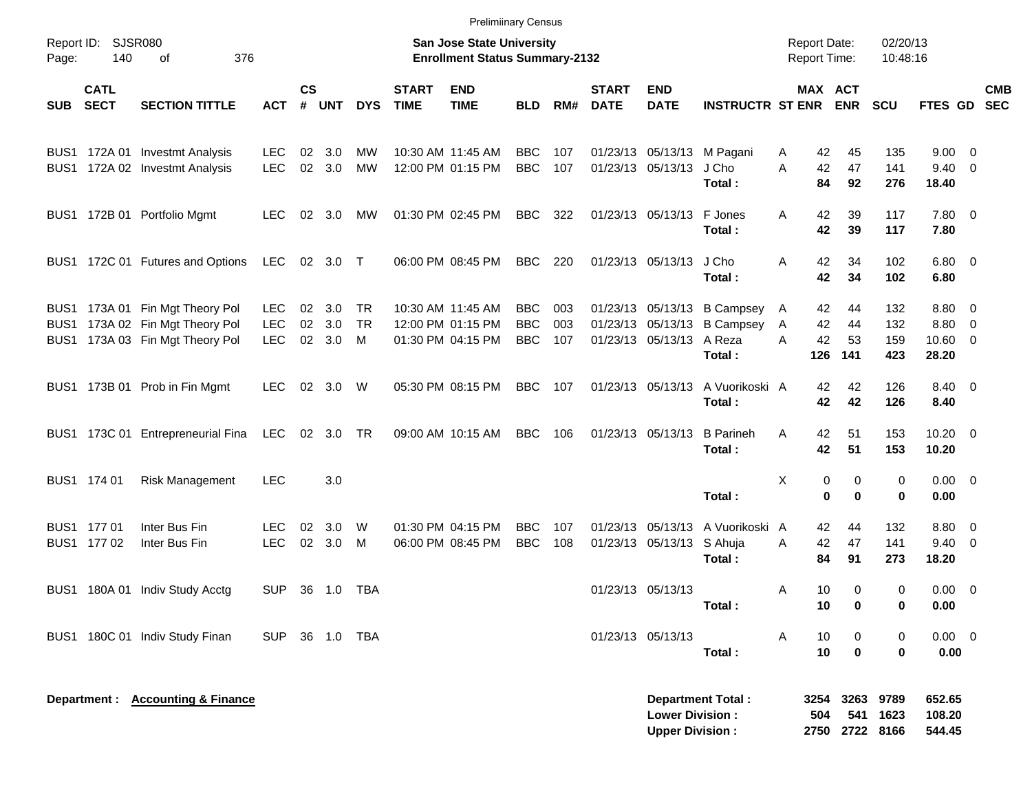|            |                            |                                                                                                       |                                        |                |                         |                      |                             |                                                                    | <b>Prelimiinary Census</b>             |                   |                             |                                                  |                                                                      |                                            |                                |                           |                                        |            |
|------------|----------------------------|-------------------------------------------------------------------------------------------------------|----------------------------------------|----------------|-------------------------|----------------------|-----------------------------|--------------------------------------------------------------------|----------------------------------------|-------------------|-----------------------------|--------------------------------------------------|----------------------------------------------------------------------|--------------------------------------------|--------------------------------|---------------------------|----------------------------------------|------------|
| Page:      | Report ID: SJSR080<br>140  | 376<br>of                                                                                             |                                        |                |                         |                      |                             | San Jose State University<br><b>Enrollment Status Summary-2132</b> |                                        |                   |                             |                                                  |                                                                      | <b>Report Date:</b><br><b>Report Time:</b> |                                | 02/20/13<br>10:48:16      |                                        |            |
| <b>SUB</b> | <b>CATL</b><br><b>SECT</b> | <b>SECTION TITTLE</b>                                                                                 | <b>ACT</b>                             | <b>CS</b><br># | UNT                     | <b>DYS</b>           | <b>START</b><br><b>TIME</b> | <b>END</b><br><b>TIME</b>                                          | <b>BLD</b>                             | RM#               | <b>START</b><br><b>DATE</b> | <b>END</b><br><b>DATE</b>                        | <b>INSTRUCTR ST ENR ENR</b>                                          |                                            | MAX ACT                        | <b>SCU</b>                | FTES GD SEC                            | <b>CMB</b> |
|            |                            | BUS1 172A 01 Investmt Analysis<br>BUS1 172A 02 Investmt Analysis                                      | <b>LEC</b><br><b>LEC</b>               | 02             | 3.0<br>02 3.0           | МW<br>MW             |                             | 10:30 AM 11:45 AM<br>12:00 PM 01:15 PM                             | <b>BBC</b><br><b>BBC</b>               | 107<br>107        |                             | 01/23/13 05/13/13 J Cho                          | 01/23/13 05/13/13 M Pagani<br>Total:                                 | 42<br>A<br>42<br>A<br>84                   | 45<br>47<br>92                 | 135<br>141<br>276         | $9.00 \t 0$<br>$9.40 \quad 0$<br>18.40 |            |
|            |                            | BUS1 172B 01 Portfolio Mgmt                                                                           | <b>LEC</b>                             |                | 02 3.0                  | MW                   |                             | 01:30 PM 02:45 PM                                                  | BBC                                    | 322               |                             | 01/23/13 05/13/13 F Jones                        | Total:                                                               | 42<br>A<br>42                              | 39<br>39                       | 117<br>117                | 7.80 0<br>7.80                         |            |
|            |                            | BUS1 172C 01 Futures and Options                                                                      | LEC                                    |                | 02 3.0 T                |                      |                             | 06:00 PM 08:45 PM                                                  | <b>BBC</b>                             | 220               |                             | 01/23/13 05/13/13 J Cho                          | Total:                                                               | 42<br>A<br>42                              | 34<br>34                       | 102<br>102                | $6.80$ 0<br>6.80                       |            |
|            |                            | BUS1 173A 01 Fin Mgt Theory Pol<br>BUS1 173A 02 Fin Mgt Theory Pol<br>BUS1 173A 03 Fin Mgt Theory Pol | <b>LEC</b><br><b>LEC</b><br><b>LEC</b> | 02             | 02 3.0<br>3.0<br>02 3.0 | TR<br><b>TR</b><br>M |                             | 10:30 AM 11:45 AM<br>12:00 PM 01:15 PM<br>01:30 PM 04:15 PM        | <b>BBC</b><br><b>BBC</b><br><b>BBC</b> | 003<br>003<br>107 |                             | 01/23/13 05/13/13 A Reza                         | 01/23/13 05/13/13 B Campsey<br>01/23/13 05/13/13 B Campsey<br>Total: | 42<br>A<br>42<br>A<br>42<br>Α<br>126       | 44<br>44<br>53<br>141          | 132<br>132<br>159<br>423  | 8.80 0<br>8.80 0<br>$10.60$ 0<br>28.20 |            |
|            |                            | BUS1 173B 01 Prob in Fin Mgmt                                                                         | <b>LEC</b>                             |                | 02 3.0 W                |                      |                             | 05:30 PM 08:15 PM                                                  | <b>BBC</b>                             | 107               |                             | 01/23/13 05/13/13                                | A Vuorikoski A<br>Total:                                             | 42<br>42                                   | 42<br>42                       | 126<br>126                | 8.40 0<br>8.40                         |            |
|            |                            | BUS1 173C 01 Entrepreneurial Fina                                                                     | LEC                                    |                | 02 3.0 TR               |                      |                             | 09:00 AM 10:15 AM                                                  | BBC                                    | 106               |                             | 01/23/13 05/13/13                                | <b>B</b> Parineh<br>Total:                                           | 42<br>A<br>42                              | 51<br>51                       | 153<br>153                | $10.20 \t 0$<br>10.20                  |            |
|            | BUS1 174 01                | <b>Risk Management</b>                                                                                | <b>LEC</b>                             |                | 3.0                     |                      |                             |                                                                    |                                        |                   |                             |                                                  | Total:                                                               | X                                          | 0<br>0<br>$\bf{0}$<br>$\bf{0}$ | 0<br>0                    | $0.00 \t 0$<br>0.00                    |            |
|            | BUS1 177 01<br>BUS1 177 02 | Inter Bus Fin<br>Inter Bus Fin                                                                        | <b>LEC</b><br><b>LEC</b>               | 02             | 3.0<br>02 3.0 M         | W                    |                             | 01:30 PM 04:15 PM<br>06:00 PM 08:45 PM                             | <b>BBC</b><br><b>BBC</b>               | 107<br>108        |                             | 01/23/13 05/13/13<br>01/23/13 05/13/13 S Ahuja   | A Vuorikoski A<br>Total:                                             | 42<br>42<br>A<br>84                        | 44<br>47<br>91                 | 132<br>141<br>273         | 8.80 0<br>$9.40 \quad 0$<br>18.20      |            |
|            |                            | BUS1 180A 01 Indiv Study Acctg                                                                        | <b>SUP</b>                             |                |                         | 36 1.0 TBA           |                             |                                                                    |                                        |                   |                             | 01/23/13 05/13/13                                | Total:                                                               | 10<br>A<br>10                              | 0<br>0                         | 0<br>0                    | $0.00 \t 0$<br>0.00                    |            |
|            |                            | BUS1 180C 01 Indiv Study Finan                                                                        | <b>SUP</b>                             |                |                         | 36 1.0 TBA           |                             |                                                                    |                                        |                   |                             | 01/23/13 05/13/13                                | Total:                                                               | 10<br>A<br>10                              | 0<br>$\mathbf 0$               | 0<br>0                    | $0.00 \t 0$<br>0.00                    |            |
|            |                            | Department : Accounting & Finance                                                                     |                                        |                |                         |                      |                             |                                                                    |                                        |                   |                             | <b>Lower Division:</b><br><b>Upper Division:</b> | <b>Department Total:</b>                                             | 3254<br>504<br>2750                        | 3263<br>541                    | 9789<br>1623<br>2722 8166 | 652.65<br>108.20<br>544.45             |            |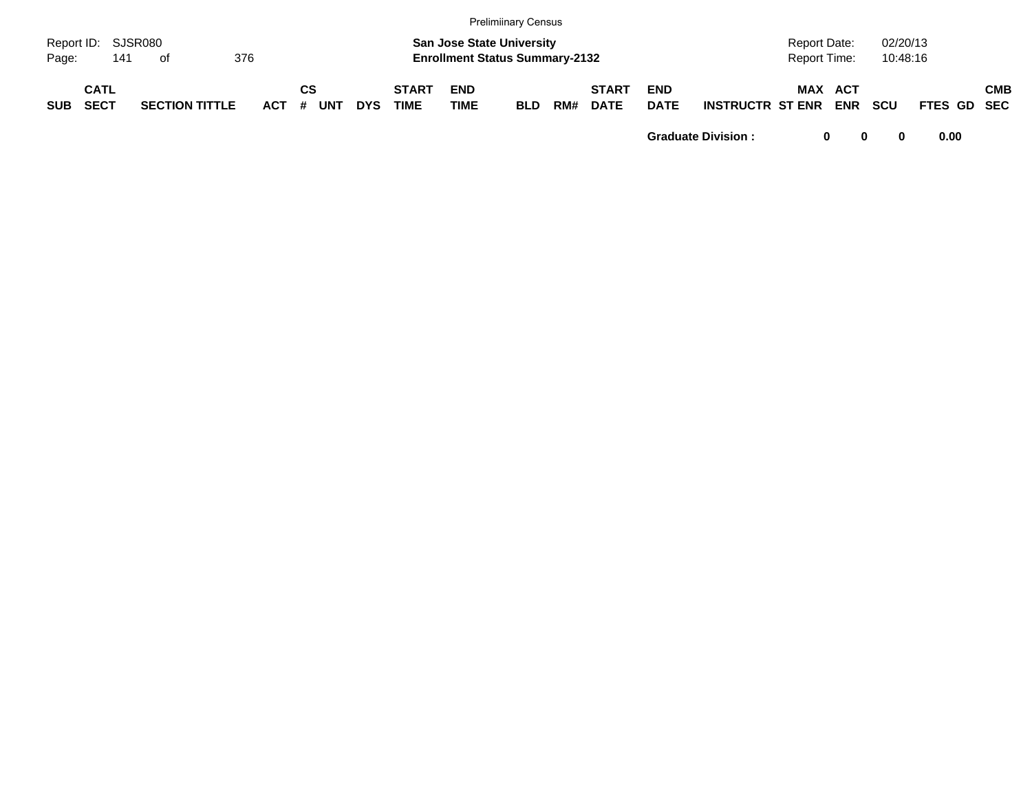|            |                            |     |                       |     |         |    |            |            |                             |                           | <b>Prelimiinary Census</b>                                                |     |                             |                           |                         |                              |            |                      |             |            |
|------------|----------------------------|-----|-----------------------|-----|---------|----|------------|------------|-----------------------------|---------------------------|---------------------------------------------------------------------------|-----|-----------------------------|---------------------------|-------------------------|------------------------------|------------|----------------------|-------------|------------|
| Page:      | Report ID: SJSR080         | 141 | of                    | 376 |         |    |            |            |                             |                           | <b>San Jose State University</b><br><b>Enrollment Status Summary-2132</b> |     |                             |                           |                         | Report Date:<br>Report Time: |            | 02/20/13<br>10:48:16 |             |            |
| <b>SUB</b> | <b>CATL</b><br><b>SECT</b> |     | <b>SECTION TITTLE</b> |     | $ACT$ # | СS | <b>UNT</b> | <b>DYS</b> | <b>START</b><br><b>TIME</b> | <b>END</b><br><b>TIME</b> | <b>BLD</b>                                                                | RM# | <b>START</b><br><b>DATE</b> | <b>END</b><br><b>DATE</b> | <b>INSTRUCTR ST ENR</b> | MAX ACT                      | <b>ENR</b> | <b>SCU</b>           | FTES GD SEC | <b>CMB</b> |

**Graduate Division : 0 0 0 0.00**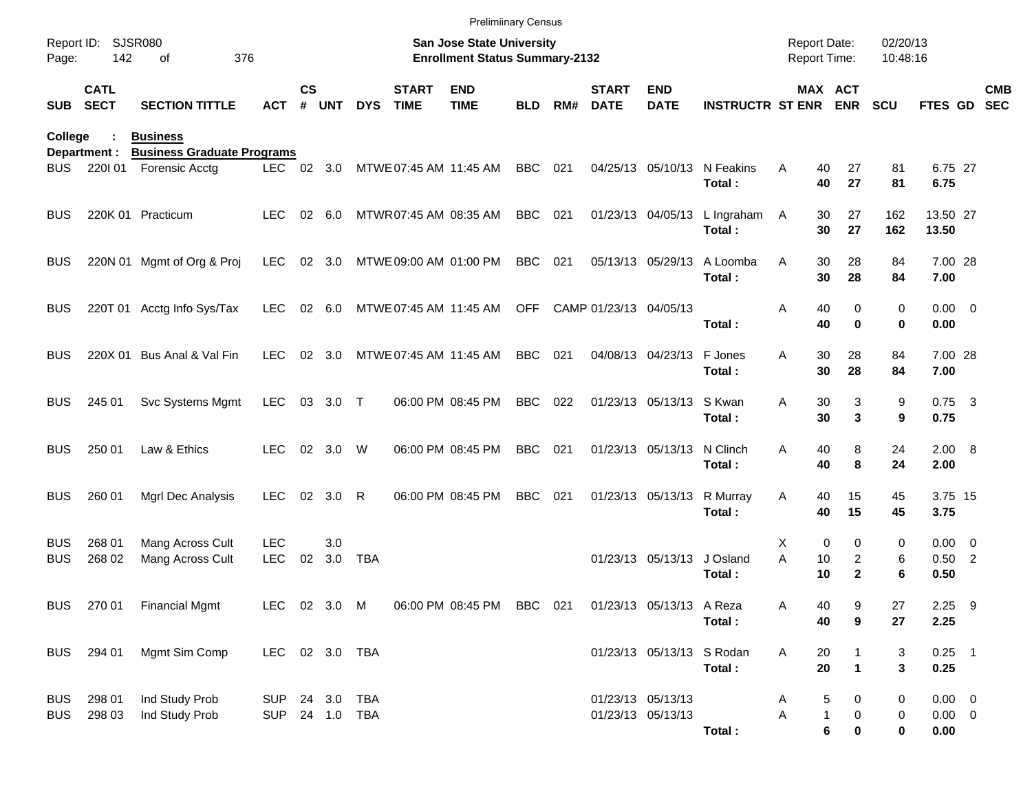|                          |                            |                                                     |                              |                    |            |            |                             |                                                                    | <b>Prelimiinary Census</b> |     |                             |                                        |                                        |                                        |                                     |                      |                                    |            |
|--------------------------|----------------------------|-----------------------------------------------------|------------------------------|--------------------|------------|------------|-----------------------------|--------------------------------------------------------------------|----------------------------|-----|-----------------------------|----------------------------------------|----------------------------------------|----------------------------------------|-------------------------------------|----------------------|------------------------------------|------------|
| Page:                    | Report ID: SJSR080<br>142  | 376<br>οf                                           |                              |                    |            |            |                             | San Jose State University<br><b>Enrollment Status Summary-2132</b> |                            |     |                             |                                        |                                        | <b>Report Date:</b><br>Report Time:    |                                     | 02/20/13<br>10:48:16 |                                    |            |
| <b>SUB</b>               | <b>CATL</b><br><b>SECT</b> | <b>SECTION TITTLE</b>                               | <b>ACT</b>                   | $\mathsf{cs}$<br># | <b>UNT</b> | <b>DYS</b> | <b>START</b><br><b>TIME</b> | <b>END</b><br><b>TIME</b>                                          | <b>BLD</b>                 | RM# | <b>START</b><br><b>DATE</b> | <b>END</b><br><b>DATE</b>              | <b>INSTRUCTR ST ENR ENR</b>            |                                        | MAX ACT                             | <b>SCU</b>           | FTES GD SEC                        | <b>CMB</b> |
| College                  |                            | <b>Business</b>                                     |                              |                    |            |            |                             |                                                                    |                            |     |                             |                                        |                                        |                                        |                                     |                      |                                    |            |
| BUS                      | Department :<br>220101     | <b>Business Graduate Programs</b><br>Forensic Acctg |                              |                    |            |            |                             | LEC 02 3.0 MTWE 07:45 AM 11:45 AM                                  | <b>BBC</b>                 | 021 |                             |                                        | 04/25/13 05/10/13 N Feakins<br>Total:  | A<br>40<br>40                          | 27<br>27                            | 81<br>81             | 6.75 27<br>6.75                    |            |
| <b>BUS</b>               |                            | 220K 01 Practicum                                   | LEC.                         |                    | 02 6.0     |            | MTWR07:45 AM 08:35 AM       |                                                                    | <b>BBC</b>                 | 021 |                             |                                        | 01/23/13 04/05/13 L Ingraham<br>Total: | 30<br>A<br>30                          | 27<br>27                            | 162<br>162           | 13.50 27<br>13.50                  |            |
| <b>BUS</b>               |                            | 220N 01 Mgmt of Org & Proj                          | <b>LEC</b>                   |                    | 02 3.0     |            | MTWE 09:00 AM 01:00 PM      |                                                                    | <b>BBC</b>                 | 021 |                             | 05/13/13 05/29/13                      | A Loomba<br>Total:                     | 30<br>A<br>30                          | 28<br>28                            | 84<br>84             | 7.00 28<br>7.00                    |            |
| <b>BUS</b>               |                            | 220T 01 Acctg Info Sys/Tax                          | LEC                          |                    | 02 6.0     |            |                             | MTWE 07:45 AM 11:45 AM                                             | OFF                        |     | CAMP 01/23/13 04/05/13      |                                        | Total:                                 | Α<br>40<br>40                          | 0<br>$\bf{0}$                       | $\mathbf 0$<br>0     | $0.00 \t 0$<br>0.00                |            |
| <b>BUS</b>               |                            | 220X 01 Bus Anal & Val Fin                          | <b>LEC</b>                   |                    | 02 3.0     |            | MTWE 07:45 AM 11:45 AM      |                                                                    | <b>BBC</b>                 | 021 |                             | 04/08/13 04/23/13                      | F Jones<br>Total:                      | 30<br>A<br>30                          | 28<br>28                            | 84<br>84             | 7.00 28<br>7.00                    |            |
| <b>BUS</b>               | 245 01                     | Svc Systems Mgmt                                    | <b>LEC</b>                   |                    | 03 3.0 T   |            |                             | 06:00 PM 08:45 PM                                                  | <b>BBC</b>                 | 022 |                             | 01/23/13 05/13/13 S Kwan               | Total:                                 | A<br>30<br>30                          | 3<br>3                              | 9<br>9               | $0.75$ 3<br>0.75                   |            |
| <b>BUS</b>               | 250 01                     | Law & Ethics                                        | <b>LEC</b>                   |                    | 02 3.0     | W          |                             | 06:00 PM 08:45 PM                                                  | <b>BBC</b>                 | 021 |                             | 01/23/13 05/13/13                      | N Clinch<br>Total:                     | A<br>40<br>40                          | 8<br>8                              | 24<br>24             | 2.00 8<br>2.00                     |            |
| <b>BUS</b>               | 260 01                     | Mgrl Dec Analysis                                   | <b>LEC</b>                   |                    | 02 3.0     | R          |                             | 06:00 PM 08:45 PM                                                  | <b>BBC</b>                 | 021 |                             | 01/23/13 05/13/13                      | R Murray<br>Total:                     | Α<br>40<br>40                          | 15<br>15                            | 45<br>45             | 3.75 15<br>3.75                    |            |
| <b>BUS</b><br><b>BUS</b> | 268 01<br>268 02           | Mang Across Cult<br>Mang Across Cult                | <b>LEC</b><br><b>LEC</b>     | 02                 | 3.0<br>3.0 | <b>TBA</b> |                             |                                                                    |                            |     |                             | 01/23/13 05/13/13                      | J Osland<br>Total:                     | х<br>0<br>A<br>10<br>10                | 0<br>$\overline{c}$<br>$\mathbf{2}$ | 0<br>6<br>6          | $0.00 \t 0$<br>$0.50$ 2<br>0.50    |            |
|                          |                            | BUS 270 01 Financial Mgmt                           | LEC 02 3.0 M                 |                    |            |            |                             | 06:00 PM 08:45 PM BBC 021                                          |                            |     |                             | 01/23/13 05/13/13 A Reza               | Total:                                 | Α<br>40<br>40                          | 9<br>9                              | 27<br>27             | $2.25$ 9<br>2.25                   |            |
|                          | BUS 294 01                 | Mgmt Sim Comp                                       | LEC 02 3.0 TBA               |                    |            |            |                             |                                                                    |                            |     |                             | 01/23/13 05/13/13 S Rodan              | Total:                                 | 20<br>A<br>20                          | $\mathbf 1$                         | 3<br>3               | $0.25$ 1<br>0.25                   |            |
| <b>BUS</b><br><b>BUS</b> | 298 01<br>298 03           | Ind Study Prob<br>Ind Study Prob                    | SUP 24 3.0<br>SUP 24 1.0 TBA |                    |            | <b>TBA</b> |                             |                                                                    |                            |     |                             | 01/23/13 05/13/13<br>01/23/13 05/13/13 | Total:                                 | 5<br>A<br>Α<br>$\mathbf{1}$<br>$\bf 6$ | 0<br>0<br>0                         | 0<br>0<br>0          | $0.00 \t 0$<br>$0.00 \t 0$<br>0.00 |            |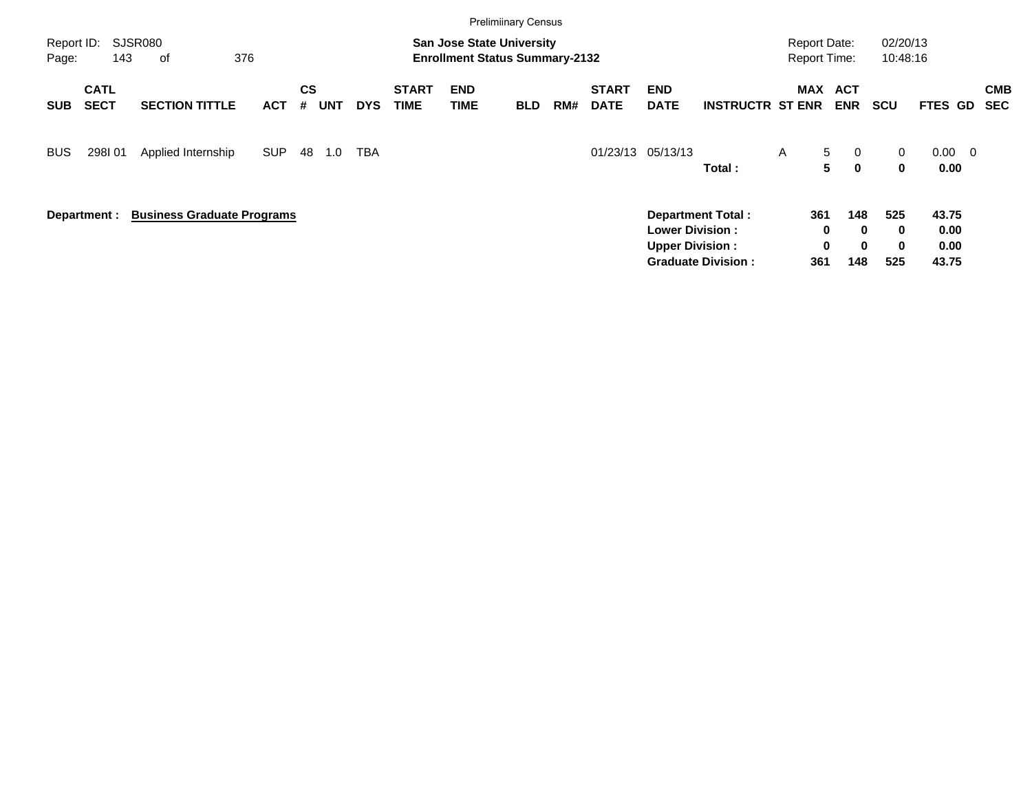|                     |                            |                                   |            |                |            |            |                      |                                                                           | <b>Prelimiinary Census</b> |     |                             |                                                  |                                                       |                                            |                                                        |                      |                                |                          |
|---------------------|----------------------------|-----------------------------------|------------|----------------|------------|------------|----------------------|---------------------------------------------------------------------------|----------------------------|-----|-----------------------------|--------------------------------------------------|-------------------------------------------------------|--------------------------------------------|--------------------------------------------------------|----------------------|--------------------------------|--------------------------|
| Report ID:<br>Page: | 143                        | SJSR080<br>376<br>0f              |            |                |            |            |                      | <b>San Jose State University</b><br><b>Enrollment Status Summary-2132</b> |                            |     |                             |                                                  |                                                       | <b>Report Date:</b><br><b>Report Time:</b> |                                                        | 02/20/13<br>10:48:16 |                                |                          |
| <b>SUB</b>          | <b>CATL</b><br><b>SECT</b> | <b>SECTION TITTLE</b>             | <b>ACT</b> | <b>CS</b><br># | <b>UNT</b> | <b>DYS</b> | <b>START</b><br>TIME | <b>END</b><br><b>TIME</b>                                                 | <b>BLD</b>                 | RM# | <b>START</b><br><b>DATE</b> | <b>END</b><br><b>DATE</b>                        | <b>INSTRUCTR ST ENR</b>                               | <b>MAX</b>                                 | <b>ACT</b><br><b>ENR</b>                               | <b>SCU</b>           | FTES GD                        | <b>CMB</b><br><b>SEC</b> |
| <b>BUS</b>          | 298I01                     | Applied Internship                | <b>SUP</b> | 48             | 1.0        | TBA        |                      |                                                                           |                            |     | 01/23/13                    | 05/13/13                                         | Total:                                                | $\mathsf{A}$                               | 5<br>$\overline{0}$<br>5<br>$\mathbf{0}$               | 0<br>0               | $0.00 \quad 0$<br>0.00         |                          |
|                     | Department :               | <b>Business Graduate Programs</b> |            |                |            |            |                      |                                                                           |                            |     |                             | <b>Lower Division:</b><br><b>Upper Division:</b> | <b>Department Total:</b><br><b>Graduate Division:</b> | 361<br>361                                 | 148<br>$\bf{0}$<br>0<br>$\mathbf 0$<br>$\bf{0}$<br>148 | 525<br>0<br>0<br>525 | 43.75<br>0.00<br>0.00<br>43.75 |                          |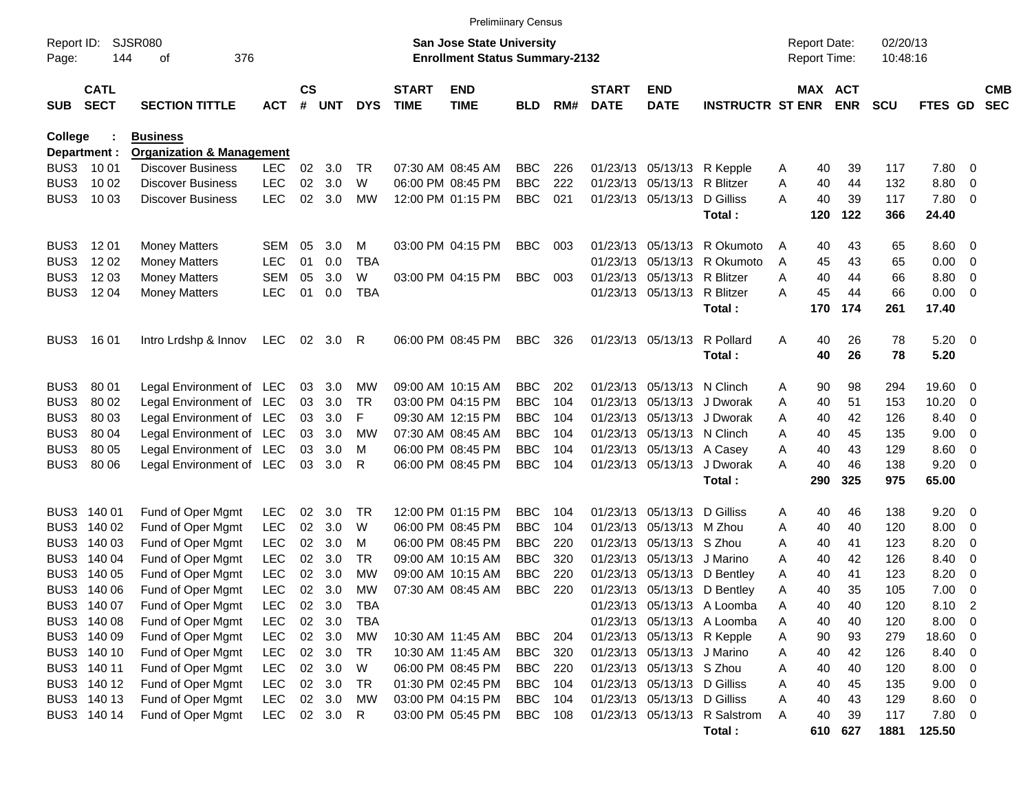|                     |                            |                                      |            |                    |            |            |                             | <b>Prelimiinary Census</b>                                                |            |     |                             |                             |                              |   |                                     |            |                      |                |                          |                          |
|---------------------|----------------------------|--------------------------------------|------------|--------------------|------------|------------|-----------------------------|---------------------------------------------------------------------------|------------|-----|-----------------------------|-----------------------------|------------------------------|---|-------------------------------------|------------|----------------------|----------------|--------------------------|--------------------------|
| Report ID:<br>Page: | 144                        | <b>SJSR080</b><br>376<br>οf          |            |                    |            |            |                             | <b>San Jose State University</b><br><b>Enrollment Status Summary-2132</b> |            |     |                             |                             |                              |   | <b>Report Date:</b><br>Report Time: |            | 02/20/13<br>10:48:16 |                |                          |                          |
|                     |                            |                                      |            |                    |            |            |                             |                                                                           |            |     |                             |                             |                              |   |                                     |            |                      |                |                          |                          |
| <b>SUB</b>          | <b>CATL</b><br><b>SECT</b> | <b>SECTION TITTLE</b>                | <b>ACT</b> | $\mathsf{cs}$<br># | <b>UNT</b> | <b>DYS</b> | <b>START</b><br><b>TIME</b> | <b>END</b><br><b>TIME</b>                                                 | <b>BLD</b> | RM# | <b>START</b><br><b>DATE</b> | <b>END</b><br><b>DATE</b>   | <b>INSTRUCTR ST ENR</b>      |   | MAX ACT                             | <b>ENR</b> | <b>SCU</b>           | <b>FTES GD</b> |                          | <b>CMB</b><br><b>SEC</b> |
| College             |                            | <b>Business</b>                      |            |                    |            |            |                             |                                                                           |            |     |                             |                             |                              |   |                                     |            |                      |                |                          |                          |
|                     | Department :               | <b>Organization &amp; Management</b> |            |                    |            |            |                             |                                                                           |            |     |                             |                             |                              |   |                                     |            |                      |                |                          |                          |
| BUS3                | 10 01                      | <b>Discover Business</b>             | <b>LEC</b> | 02                 | 3.0        | TR         |                             | 07:30 AM 08:45 AM                                                         | <b>BBC</b> | 226 | 01/23/13                    |                             | 05/13/13 R Kepple            | A | 40                                  | 39         | 117                  | 7.80           | $\overline{0}$           |                          |
| BUS3                | 10 02                      | <b>Discover Business</b>             | <b>LEC</b> | 02                 | 3.0        | W          |                             | 06:00 PM 08:45 PM                                                         | <b>BBC</b> | 222 | 01/23/13                    | 05/13/13 R Blitzer          |                              | Α | 40                                  | 44         | 132                  | 8.80           | 0                        |                          |
| BUS3                | 10 03                      | <b>Discover Business</b>             | <b>LEC</b> | 02                 | 3.0        | MW         |                             | 12:00 PM 01:15 PM                                                         | <b>BBC</b> | 021 |                             | 01/23/13 05/13/13           | D Gilliss                    | A | 40                                  | 39         | 117                  | 7.80           | - 0                      |                          |
|                     |                            |                                      |            |                    |            |            |                             |                                                                           |            |     |                             |                             | Total:                       |   | 120                                 | 122        | 366                  | 24.40          |                          |                          |
| BUS3                | 12 01                      | <b>Money Matters</b>                 | SEM        | 05                 | 3.0        | M          |                             | 03:00 PM 04:15 PM                                                         | <b>BBC</b> | 003 | 01/23/13                    | 05/13/13                    | R Okumoto                    | A | 40                                  | 43         | 65                   | 8.60           | $\overline{\mathbf{0}}$  |                          |
| BUS3                | 12 02                      | <b>Money Matters</b>                 | <b>LEC</b> | 01                 | 0.0        | <b>TBA</b> |                             |                                                                           |            |     | 01/23/13                    | 05/13/13                    | R Okumoto                    | A | 45                                  | 43         | 65                   | 0.00           | $\overline{0}$           |                          |
| BUS3                | 12 03                      | <b>Money Matters</b>                 | <b>SEM</b> | 05                 | 3.0        | W          |                             | 03:00 PM 04:15 PM                                                         | <b>BBC</b> | 003 | 01/23/13                    | 05/13/13 R Blitzer          |                              | A | 40                                  | 44         | 66                   | 8.80           | 0                        |                          |
| BUS3                | 12 04                      | <b>Money Matters</b>                 | <b>LEC</b> | 01                 | 0.0        | <b>TBA</b> |                             |                                                                           |            |     |                             | 01/23/13 05/13/13 R Blitzer |                              | A | 45                                  | 44         | 66                   | 0.00           | - 0                      |                          |
|                     |                            |                                      |            |                    |            |            |                             |                                                                           |            |     |                             |                             | Total:                       |   | 170                                 | 174        | 261                  | 17.40          |                          |                          |
| BUS3                | 16 01                      | Intro Lrdshp & Innov                 | LEC        |                    | 02 3.0     | R          |                             | 06:00 PM 08:45 PM                                                         | <b>BBC</b> | 326 |                             | 01/23/13 05/13/13           | R Pollard                    | A | 40                                  | 26         | 78                   | $5.20 \ 0$     |                          |                          |
|                     |                            |                                      |            |                    |            |            |                             |                                                                           |            |     |                             |                             | Total:                       |   | 40                                  | 26         | 78                   | 5.20           |                          |                          |
| BUS3                | 80 01                      | Legal Environment of LEC             |            | 03                 | 3.0        | MW         |                             | 09:00 AM 10:15 AM                                                         | <b>BBC</b> | 202 | 01/23/13                    | 05/13/13 N Clinch           |                              | A | 90                                  | 98         | 294                  | 19.60          | - 0                      |                          |
| BUS3                | 80 02                      | Legal Environment of LEC             |            | 03                 | 3.0        | TR         |                             | 03:00 PM 04:15 PM                                                         | <b>BBC</b> | 104 | 01/23/13                    | 05/13/13                    | J Dworak                     | A | 40                                  | 51         | 153                  | 10.20          | 0                        |                          |
| BUS3                | 80 03                      | Legal Environment of LEC             |            | 03                 | 3.0        | F          |                             | 09:30 AM 12:15 PM                                                         | <b>BBC</b> | 104 | 01/23/13                    | 05/13/13                    | J Dworak                     | A | 40                                  | 42         | 126                  | 8.40           | 0                        |                          |
| BUS3                | 80 04                      | Legal Environment of LEC             |            | 03                 | 3.0        | МW         |                             | 07:30 AM 08:45 AM                                                         | <b>BBC</b> | 104 | 01/23/13                    | 05/13/13 N Clinch           |                              | A | 40                                  | 45         | 135                  | 9.00           | $\overline{0}$           |                          |
| BUS3                | 80 05                      | Legal Environment of LEC             |            | 03                 | 3.0        | м          |                             | 06:00 PM 08:45 PM                                                         | <b>BBC</b> | 104 | 01/23/13                    | 05/13/13 A Casey            |                              | A | 40                                  | 43         | 129                  | 8.60           | 0                        |                          |
| BUS3                | 80 06                      | Legal Environment of LEC             |            | 03                 | 3.0        | R          |                             | 06:00 PM 08:45 PM                                                         | <b>BBC</b> | 104 |                             | 01/23/13 05/13/13           | J Dworak                     | A | 40                                  | 46         | 138                  | 9.20           | 0                        |                          |
|                     |                            |                                      |            |                    |            |            |                             |                                                                           |            |     |                             |                             | Total:                       |   | 290                                 | 325        | 975                  | 65.00          |                          |                          |
| BUS3                | 140 01                     | Fund of Oper Mgmt                    | <b>LEC</b> | 02                 | 3.0        | TR         |                             | 12:00 PM 01:15 PM                                                         | <b>BBC</b> | 104 | 01/23/13                    | 05/13/13                    | D Gilliss                    | A | 40                                  | 46         | 138                  | 9.20           | - 0                      |                          |
| BUS3                | 140 02                     | Fund of Oper Mgmt                    | <b>LEC</b> | 02                 | 3.0        | W          |                             | 06:00 PM 08:45 PM                                                         | <b>BBC</b> | 104 | 01/23/13                    | 05/13/13 M Zhou             |                              | A | 40                                  | 40         | 120                  | 8.00           | $\overline{0}$           |                          |
| BUS3                | 140 03                     | Fund of Oper Mgmt                    | <b>LEC</b> | 02                 | 3.0        | м          |                             | 06:00 PM 08:45 PM                                                         | <b>BBC</b> | 220 | 01/23/13                    | 05/13/13 S Zhou             |                              | A | 40                                  | 41         | 123                  | 8.20           | 0                        |                          |
| BUS3                | 140 04                     | Fund of Oper Mgmt                    | <b>LEC</b> | 02 <sub>o</sub>    | 3.0        | TR         |                             | 09:00 AM 10:15 AM                                                         | <b>BBC</b> | 320 | 01/23/13                    | 05/13/13                    | J Marino                     | A | 40                                  | 42         | 126                  | 8.40           | 0                        |                          |
| BUS3                | 140 05                     | Fund of Oper Mgmt                    | <b>LEC</b> | 02                 | 3.0        | МW         |                             | 09:00 AM 10:15 AM                                                         | <b>BBC</b> | 220 | 01/23/13                    | 05/13/13                    | D Bentley                    | A | 40                                  | 41         | 123                  | 8.20           | 0                        |                          |
|                     | BUS3 140 06                | Fund of Oper Mgmt                    | <b>LEC</b> | 02                 | 3.0        | MW         |                             | 07:30 AM 08:45 AM                                                         | <b>BBC</b> | 220 |                             |                             | 01/23/13 05/13/13 D Bentley  | A | 40                                  | 35         | 105                  | 7.00           | $\overline{\mathbf{0}}$  |                          |
|                     | BUS3 140 07                | Fund of Oper Mgmt                    | <b>LEC</b> |                    | 02 3.0     | <b>TBA</b> |                             |                                                                           |            |     |                             |                             | 01/23/13 05/13/13 A Loomba   | Α | 40                                  | 40         | 120                  | 8.10           | $\overline{2}$           |                          |
|                     | BUS3 140 08                | Fund of Oper Mgmt                    | LEC        |                    | 02 3.0     | TBA        |                             |                                                                           |            |     |                             |                             | 01/23/13 05/13/13 A Loomba   | A | 40                                  | 40         | 120                  | 8.00           | - 0                      |                          |
|                     | BUS3 140 09                | Fund of Oper Mgmt                    | <b>LEC</b> |                    | 02 3.0     | МW         |                             | 10:30 AM 11:45 AM                                                         | <b>BBC</b> | 204 |                             | 01/23/13 05/13/13 R Kepple  |                              | A | 90                                  | 93         | 279                  | 18.60          | $\overline{\phantom{0}}$ |                          |
|                     | BUS3 140 10                | Fund of Oper Mgmt                    | <b>LEC</b> |                    | 02 3.0     | TR         |                             | 10:30 AM 11:45 AM                                                         | <b>BBC</b> | 320 |                             | 01/23/13 05/13/13 J Marino  |                              | A | 40                                  | 42         | 126                  | 8.40           | $\overline{\phantom{0}}$ |                          |
|                     | BUS3 140 11                | Fund of Oper Mgmt                    | <b>LEC</b> |                    | 02 3.0     | W          |                             | 06:00 PM 08:45 PM                                                         | <b>BBC</b> | 220 |                             | 01/23/13 05/13/13 S Zhou    |                              | A | 40                                  | 40         | 120                  | 8.00           | $\overline{\phantom{0}}$ |                          |
|                     | BUS3 140 12                | Fund of Oper Mgmt                    | <b>LEC</b> |                    | 02 3.0     | TR         |                             | 01:30 PM 02:45 PM                                                         | <b>BBC</b> | 104 |                             | 01/23/13 05/13/13 D Gilliss |                              | A | 40                                  | 45         | 135                  | 9.00           | $\overline{\phantom{0}}$ |                          |
|                     | BUS3 140 13                | Fund of Oper Mgmt                    | <b>LEC</b> |                    | 02 3.0     | MW         |                             | 03:00 PM 04:15 PM                                                         | <b>BBC</b> | 104 |                             | 01/23/13 05/13/13 D Gilliss |                              | A | 40                                  | 43         | 129                  | 8.60 0         |                          |                          |
|                     | BUS3 140 14                | Fund of Oper Mgmt                    | LEC        |                    | 02 3.0     | R          |                             | 03:00 PM 05:45 PM                                                         | <b>BBC</b> | 108 |                             |                             | 01/23/13 05/13/13 R Salstrom | Α | 40                                  | 39         | 117                  | 7.80 0         |                          |                          |
|                     |                            |                                      |            |                    |            |            |                             |                                                                           |            |     |                             |                             | Total:                       |   |                                     | 610 627    | 1881                 | 125.50         |                          |                          |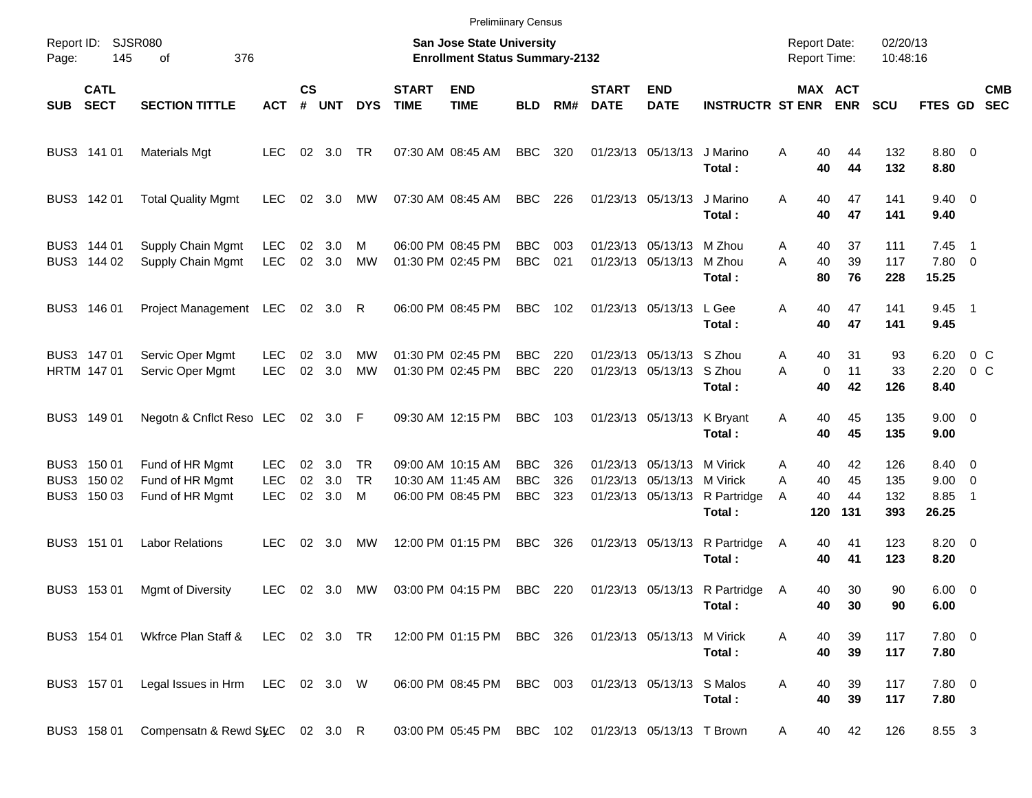|            |                                           |                                                       |                                        |                    |                   |                      |                             | <b>Prelimiinary Census</b>                                         |                                 |                   |                             |                                                             |                                               |                                            |                              |                          |                                        |                           |                          |
|------------|-------------------------------------------|-------------------------------------------------------|----------------------------------------|--------------------|-------------------|----------------------|-----------------------------|--------------------------------------------------------------------|---------------------------------|-------------------|-----------------------------|-------------------------------------------------------------|-----------------------------------------------|--------------------------------------------|------------------------------|--------------------------|----------------------------------------|---------------------------|--------------------------|
| Page:      | Report ID: SJSR080<br>145                 | 376<br>οf                                             |                                        |                    |                   |                      |                             | San Jose State University<br><b>Enrollment Status Summary-2132</b> |                                 |                   |                             |                                                             |                                               | <b>Report Date:</b><br><b>Report Time:</b> |                              | 02/20/13<br>10:48:16     |                                        |                           |                          |
| <b>SUB</b> | <b>CATL</b><br><b>SECT</b>                | <b>SECTION TITTLE</b>                                 | <b>ACT</b>                             | $\mathsf{cs}$<br># | <b>UNT</b>        | <b>DYS</b>           | <b>START</b><br><b>TIME</b> | <b>END</b><br><b>TIME</b>                                          | <b>BLD</b>                      | RM#               | <b>START</b><br><b>DATE</b> | <b>END</b><br><b>DATE</b>                                   | <b>INSTRUCTR ST ENR</b>                       |                                            | <b>MAX ACT</b><br><b>ENR</b> | <b>SCU</b>               | <b>FTES GD</b>                         |                           | <b>CMB</b><br><b>SEC</b> |
|            | BUS3 141 01                               | <b>Materials Mgt</b>                                  | <b>LEC</b>                             |                    | 02 3.0            | <b>TR</b>            |                             | 07:30 AM 08:45 AM                                                  | <b>BBC</b>                      | 320               |                             | 01/23/13 05/13/13                                           | J Marino<br>Total:                            | A<br>40<br>40                              | 44<br>44                     | 132<br>132               | 8.80 0<br>8.80                         |                           |                          |
|            | BUS3 142 01                               | <b>Total Quality Mgmt</b>                             | <b>LEC</b>                             |                    | $02 \quad 3.0$    | MW                   |                             | 07:30 AM 08:45 AM                                                  | <b>BBC</b>                      | 226               |                             | 01/23/13 05/13/13                                           | J Marino<br>Total:                            | 40<br>A<br>40                              | 47<br>47                     | 141<br>141               | $9.40 \quad 0$<br>9.40                 |                           |                          |
|            | BUS3 144 01<br>BUS3 144 02                | Supply Chain Mgmt<br>Supply Chain Mgmt                | <b>LEC</b><br><b>LEC</b>               | 02<br>02           | 3.0<br>3.0        | м<br><b>MW</b>       |                             | 06:00 PM 08:45 PM<br>01:30 PM 02:45 PM                             | <b>BBC</b><br><b>BBC</b>        | 003<br>021        |                             | 01/23/13 05/13/13<br>01/23/13 05/13/13                      | M Zhou<br>M Zhou<br>Total:                    | 40<br>A<br>40<br>A<br>80                   | 37<br>39<br>76               | 111<br>117<br>228        | 7.45<br>7.80 0<br>15.25                | $\blacksquare$ 1          |                          |
|            | BUS3 146 01                               | Project Management LEC                                |                                        |                    | 02 3.0            | R                    |                             | 06:00 PM 08:45 PM                                                  | <b>BBC</b>                      | 102               |                             | 01/23/13 05/13/13                                           | L Gee<br>Total:                               | 40<br>Α<br>40                              | 47<br>47                     | 141<br>141               | $9.45$ 1<br>9.45                       |                           |                          |
|            | BUS3 147 01<br>HRTM 147 01                | Servic Oper Mgmt<br>Servic Oper Mgmt                  | <b>LEC</b><br><b>LEC</b>               | 02<br>02           | 3.0<br>3.0        | MW<br><b>MW</b>      |                             | 01:30 PM 02:45 PM<br>01:30 PM 02:45 PM                             | <b>BBC</b><br><b>BBC</b>        | 220<br>220        |                             | 01/23/13 05/13/13 S Zhou<br>01/23/13 05/13/13 S Zhou        | Total:                                        | 40<br>A<br>A<br>0<br>40                    | 31<br>11<br>42               | 93<br>33<br>126          | 6.20<br>2.20<br>8.40                   | $0\,$ C<br>0 <sup>o</sup> |                          |
|            | BUS3 149 01                               | Negotn & Cnflct Reso LEC                              |                                        |                    | 02 3.0 F          |                      |                             | 09:30 AM 12:15 PM                                                  | <b>BBC</b>                      | 103               |                             | 01/23/13 05/13/13                                           | K Bryant<br>Total:                            | Α<br>40<br>40                              | 45<br>45                     | 135<br>135               | $9.00 \t 0$<br>9.00                    |                           |                          |
|            | BUS3 150 01<br>BUS3 150 02<br>BUS3 150 03 | Fund of HR Mgmt<br>Fund of HR Mgmt<br>Fund of HR Mgmt | <b>LEC</b><br><b>LEC</b><br><b>LEC</b> | 02<br>02<br>02     | 3.0<br>3.0<br>3.0 | TR<br><b>TR</b><br>M |                             | 09:00 AM 10:15 AM<br>10:30 AM 11:45 AM<br>06:00 PM 08:45 PM        | BBC<br><b>BBC</b><br><b>BBC</b> | 326<br>326<br>323 |                             | 01/23/13 05/13/13<br>01/23/13 05/13/13<br>01/23/13 05/13/13 | M Virick<br>M Virick<br>R Partridge<br>Total: | 40<br>A<br>40<br>A<br>40<br>A<br>120       | 42<br>45<br>44<br>131        | 126<br>135<br>132<br>393 | 8.40 0<br>$9.00 \t 0$<br>8.85<br>26.25 | $\overline{1}$            |                          |
|            | BUS3 151 01                               | <b>Labor Relations</b>                                | LEC.                                   | 02                 | 3.0               | MW                   |                             | 12:00 PM 01:15 PM                                                  | <b>BBC</b>                      | 326               |                             | 01/23/13 05/13/13                                           | R Partridge<br>Total:                         | 40<br>A<br>40                              | 41<br>41                     | 123<br>123               | $8.20 \ 0$<br>8.20                     |                           |                          |
|            | BUS3 153 01                               | Mgmt of Diversity                                     | <b>LEC</b>                             |                    | 02 3.0            | МW                   |                             | 03:00 PM 04:15 PM                                                  | BBC                             | 220               |                             |                                                             | 01/23/13 05/13/13 R Partridge<br>Total:       | 40<br>A<br>40                              | 30<br>30                     | 90<br>90                 | $6.00 \quad 0$<br>6.00                 |                           |                          |
|            | BUS3 154 01                               | Wkfrce Plan Staff & LEC 02 3.0 TR                     |                                        |                    |                   |                      |                             | 12:00 PM 01:15 PM BBC 326                                          |                                 |                   |                             | 01/23/13 05/13/13                                           | M Virick<br>Total:                            | Α<br>40<br>40                              | 39<br>39                     | 117<br>117               | 7.80 0<br>7.80                         |                           |                          |
|            | BUS3 157 01                               | Legal Issues in Hrm LEC 02 3.0 W                      |                                        |                    |                   |                      |                             | 06:00 PM 08:45 PM                                                  | BBC 003                         |                   |                             | 01/23/13 05/13/13 S Malos                                   | Total:                                        | Α<br>40<br>40                              | 39<br>39                     | 117<br>117               | 7.80 0<br>7.80                         |                           |                          |
|            | BUS3 158 01                               | Compensatn & Rewd SLEC 02 3.0 R                       |                                        |                    |                   |                      |                             | 03:00 PM 05:45 PM BBC 102                                          |                                 |                   |                             | 01/23/13 05/13/13 T Brown                                   |                                               | 40<br>A                                    | 42                           | 126                      | 8.55 3                                 |                           |                          |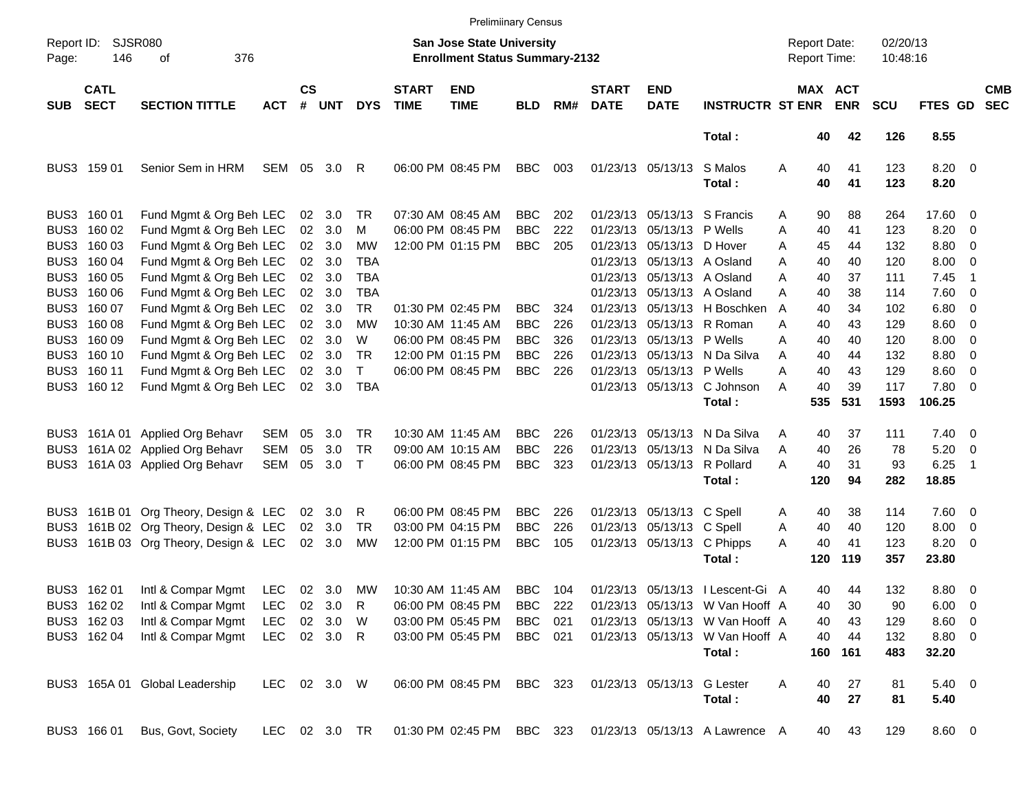|                     |                            |                                       |               |                    |            |              |                             | <b>Prelimiinary Census</b>                                                |            |     |                             |                            |                                                          |                     |          |              |                      |                    |                          |                          |
|---------------------|----------------------------|---------------------------------------|---------------|--------------------|------------|--------------|-----------------------------|---------------------------------------------------------------------------|------------|-----|-----------------------------|----------------------------|----------------------------------------------------------|---------------------|----------|--------------|----------------------|--------------------|--------------------------|--------------------------|
| Report ID:<br>Page: | 146                        | <b>SJSR080</b><br>376<br>οf           |               |                    |            |              |                             | <b>San Jose State University</b><br><b>Enrollment Status Summary-2132</b> |            |     |                             |                            |                                                          | <b>Report Date:</b> |          | Report Time: | 02/20/13<br>10:48:16 |                    |                          |                          |
| <b>SUB</b>          | <b>CATL</b><br><b>SECT</b> | <b>SECTION TITTLE</b>                 | <b>ACT</b>    | $\mathsf{cs}$<br># | <b>UNT</b> | <b>DYS</b>   | <b>START</b><br><b>TIME</b> | <b>END</b><br><b>TIME</b>                                                 | <b>BLD</b> | RM# | <b>START</b><br><b>DATE</b> | <b>END</b><br><b>DATE</b>  | <b>INSTRUCTR ST ENR ENR</b>                              |                     |          | MAX ACT      | <b>SCU</b>           | FTES GD            |                          | <b>CMB</b><br><b>SEC</b> |
|                     |                            |                                       |               |                    |            |              |                             |                                                                           |            |     |                             |                            | Total:                                                   |                     | 40       | 42           | 126                  | 8.55               |                          |                          |
|                     | BUS3 159 01                | Senior Sem in HRM                     | SEM           | 05                 | 3.0        | R            |                             | 06:00 PM 08:45 PM                                                         | <b>BBC</b> | 003 |                             | 01/23/13 05/13/13          | S Malos<br>Total:                                        | Α                   | 40<br>40 | 41<br>41     | 123<br>123           | $8.20 \ 0$<br>8.20 |                          |                          |
|                     | BUS3 160 01                | Fund Mgmt & Org Beh LEC               |               |                    | 02 3.0     | TR           |                             | 07:30 AM 08:45 AM                                                         | <b>BBC</b> | 202 |                             |                            | 01/23/13 05/13/13 S Francis                              | A                   | 90       | 88           | 264                  | 17.60 0            |                          |                          |
|                     | BUS3 160 02                | Fund Mgmt & Org Beh LEC               |               | 02 <sub>o</sub>    | 3.0        | м            |                             | 06:00 PM 08:45 PM                                                         | <b>BBC</b> | 222 |                             | 01/23/13 05/13/13 P Wells  |                                                          | A                   | 40       | 41           | 123                  | 8.20               | $\overline{\phantom{0}}$ |                          |
|                     | BUS3 160 03                | Fund Mgmt & Org Beh LEC               |               |                    | 02 3.0     | <b>MW</b>    |                             | 12:00 PM 01:15 PM                                                         | <b>BBC</b> | 205 |                             | 01/23/13 05/13/13 D Hover  |                                                          | A                   | 45       | 44           | 132                  | 8.80 0             |                          |                          |
|                     | BUS3 160 04                | Fund Mgmt & Org Beh LEC               |               |                    | 02 3.0     | <b>TBA</b>   |                             |                                                                           |            |     |                             | 01/23/13 05/13/13 A Osland |                                                          | A                   | 40       | 40           | 120                  | $8.00 \t 0$        |                          |                          |
|                     | BUS3 160 05                | Fund Mgmt & Org Beh LEC               |               |                    | 02 3.0     | TBA          |                             |                                                                           |            |     |                             |                            | 01/23/13 05/13/13 A Osland                               | A                   | 40       | 37           | 111                  | 7.45               | - 1                      |                          |
|                     | BUS3 160 06                | Fund Mgmt & Org Beh LEC               |               |                    | 02 3.0     | TBA          |                             |                                                                           |            |     |                             | 01/23/13 05/13/13 A Osland |                                                          | A                   | 40       | 38           | 114                  | 7.60 0             |                          |                          |
|                     | BUS3 160 07                | Fund Mgmt & Org Beh LEC               |               |                    | 02 3.0     | <b>TR</b>    |                             | 01:30 PM 02:45 PM                                                         | <b>BBC</b> | 324 |                             |                            | 01/23/13 05/13/13 H Boschken                             | A                   | 40       | 34           | 102                  | $6.80$ 0           |                          |                          |
|                     | BUS3 160 08                | Fund Mgmt & Org Beh LEC               |               |                    | 02 3.0     | МW           |                             | 10:30 AM 11:45 AM                                                         | <b>BBC</b> | 226 |                             |                            | 01/23/13 05/13/13 R Roman                                | A                   | 40       | 43           | 129                  | $8.60 \quad 0$     |                          |                          |
|                     | BUS3 160 09                | Fund Mgmt & Org Beh LEC               |               |                    | 02 3.0     | W            |                             | 06:00 PM 08:45 PM                                                         | <b>BBC</b> | 326 |                             | 01/23/13 05/13/13 P Wells  |                                                          | A                   | 40       | 40           | 120                  | $8.00 \t 0$        |                          |                          |
|                     | BUS3 160 10                | Fund Mgmt & Org Beh LEC               |               |                    | 02 3.0     | <b>TR</b>    |                             | 12:00 PM 01:15 PM                                                         | <b>BBC</b> | 226 |                             |                            | 01/23/13 05/13/13 N Da Silva                             | A                   | 40       | 44           | 132                  | $8.80\ 0$          |                          |                          |
|                     | BUS3 160 11                | Fund Mgmt & Org Beh LEC               |               |                    | 02 3.0     | T.           |                             | 06:00 PM 08:45 PM                                                         | <b>BBC</b> | 226 |                             | 01/23/13 05/13/13 P Wells  |                                                          | A                   | 40       | 43           | 129                  | 8.60 0             |                          |                          |
|                     | BUS3 160 12                | Fund Mgmt & Org Beh LEC               |               |                    | 02 3.0     | <b>TBA</b>   |                             |                                                                           |            |     |                             |                            | 01/23/13 05/13/13 C Johnson                              | A                   | 40       | 39           | 117                  | 7.80 0             |                          |                          |
|                     |                            |                                       |               |                    |            |              |                             |                                                                           |            |     |                             |                            | Total:                                                   |                     | 535      | 531          | 1593                 | 106.25             |                          |                          |
|                     |                            | BUS3 161A 01 Applied Org Behavr       | SEM           | 05                 | 3.0        | TR           |                             | 10:30 AM 11:45 AM                                                         | <b>BBC</b> | 226 |                             |                            | 01/23/13 05/13/13 N Da Silva                             | A                   | 40       | 37           | 111                  | $7.40 \quad 0$     |                          |                          |
| BUS3                |                            | 161A 02 Applied Org Behavr            | <b>SEM</b>    | 05                 | 3.0        | <b>TR</b>    |                             | 09:00 AM 10:15 AM                                                         | <b>BBC</b> | 226 |                             |                            | 01/23/13 05/13/13 N Da Silva                             | A                   | 40       | 26           | 78                   | $5.20 \ 0$         |                          |                          |
| BUS3                |                            | 161A 03 Applied Org Behavr            | <b>SEM</b>    | 05                 | 3.0        | $\mathsf{T}$ |                             | 06:00 PM 08:45 PM                                                         | <b>BBC</b> | 323 |                             |                            | 01/23/13 05/13/13 R Pollard                              | A                   | 40       | 31           | 93                   | 6.25               | $\overline{\phantom{1}}$ |                          |
|                     |                            |                                       |               |                    |            |              |                             |                                                                           |            |     |                             |                            | Total:                                                   |                     | 120      | 94           | 282                  | 18.85              |                          |                          |
|                     |                            | BUS3 161B 01 Org Theory, Design & LEC |               |                    | 02 3.0     | R            |                             | 06:00 PM 08:45 PM                                                         | <b>BBC</b> | 226 |                             | 01/23/13 05/13/13 C Spell  |                                                          | A                   | 40       | 38           | 114                  | 7.60 0             |                          |                          |
|                     |                            | BUS3 161B 02 Org Theory, Design & LEC |               |                    | 02 3.0     | <b>TR</b>    |                             | 03:00 PM 04:15 PM                                                         | <b>BBC</b> | 226 |                             | 01/23/13 05/13/13 C Spell  |                                                          | A                   | 40       | 40           | 120                  | 8.00 0             |                          |                          |
|                     |                            | BUS3 161B 03 Org Theory, Design & LEC |               |                    | 02 3.0     | MW           |                             | 12:00 PM 01:15 PM                                                         | <b>BBC</b> | 105 |                             | 01/23/13 05/13/13 C Phipps |                                                          | A                   | 40       | 41           | 123                  | $8.20 \ 0$         |                          |                          |
|                     |                            |                                       |               |                    |            |              |                             |                                                                           |            |     |                             |                            | Total:                                                   |                     | 120      | 119          | 357                  | 23.80              |                          |                          |
|                     | BUS3 162 01                | Intl & Compar Mgmt LEC                |               |                    | 02 3.0     | МW           |                             | 10:30 AM 11:45 AM                                                         | BBC        | 104 |                             |                            | 01/23/13 05/13/13 I Lescent-Gi A                         |                     | 40       | 44           | 132                  | $8.80\ 0$          |                          |                          |
|                     | BUS3 162 02                | Intl & Compar Mgmt                    | LEC           |                    | 02 3.0     | $\mathsf{R}$ |                             | 06:00 PM 08:45 PM                                                         | BBC        | 222 |                             |                            | 01/23/13 05/13/13 W Van Hooff A                          |                     | 40       | 30           | 90                   | $6.00 \quad 0$     |                          |                          |
|                     | BUS3 162 03                | Intl & Compar Mgmt                    | LEC           |                    | 02 3.0     | W            |                             | 03:00 PM 05:45 PM                                                         | <b>BBC</b> | 021 |                             |                            | 01/23/13 05/13/13 W Van Hooff A                          |                     | 40       | 43           | 129                  | $8.60$ 0           |                          |                          |
|                     | BUS3 162 04                | Intl & Compar Mgmt                    | LEC 02 3.0 R  |                    |            |              |                             | 03:00 PM 05:45 PM                                                         | BBC 021    |     |                             |                            | 01/23/13 05/13/13 W Van Hooff A                          |                     | 40       | 44           | 132                  | 8.80 0             |                          |                          |
|                     |                            |                                       |               |                    |            |              |                             |                                                                           |            |     |                             |                            | Total:                                                   |                     |          | 160 161      | 483                  | 32.20              |                          |                          |
|                     |                            | BUS3 165A 01 Global Leadership        | LEC 02 3.0 W  |                    |            |              |                             | 06:00 PM 08:45 PM                                                         | BBC 323    |     |                             | 01/23/13 05/13/13 G Lester |                                                          | A                   | 40       | 27           | 81                   | $5.40 \ 0$         |                          |                          |
|                     |                            |                                       |               |                    |            |              |                             |                                                                           |            |     |                             |                            | Total:                                                   |                     | 40       | 27           | 81                   | 5.40               |                          |                          |
|                     | BUS3 166 01                | Bus, Govt, Society                    | LEC 02 3.0 TR |                    |            |              |                             |                                                                           |            |     |                             |                            | 01:30 PM 02:45 PM BBC 323 01/23/13 05/13/13 A Lawrence A |                     | 40       | 43           | 129                  | 8.60 0             |                          |                          |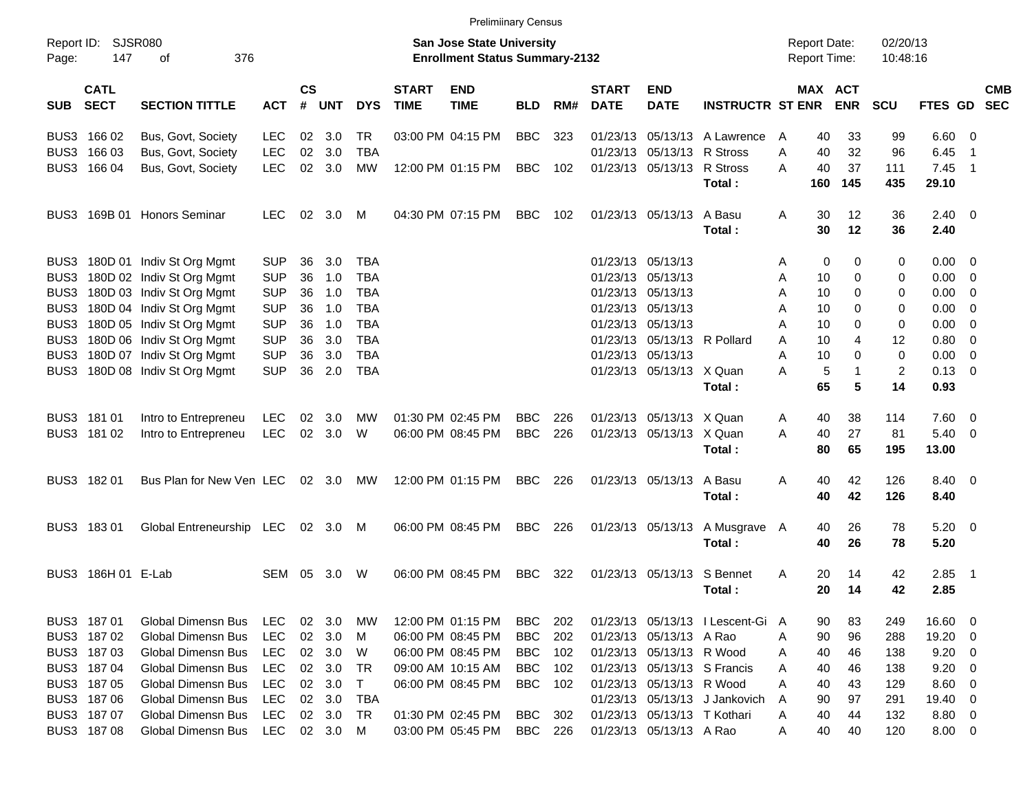|            |                            |                                |            |                |                |            |                             | <b>Prelimiinary Census</b>                                                |            |     |                             |                             |                                  |                                            |                       |                      |                |                          |            |
|------------|----------------------------|--------------------------------|------------|----------------|----------------|------------|-----------------------------|---------------------------------------------------------------------------|------------|-----|-----------------------------|-----------------------------|----------------------------------|--------------------------------------------|-----------------------|----------------------|----------------|--------------------------|------------|
| Page:      | Report ID: SJSR080<br>147  | 376<br>οf                      |            |                |                |            |                             | <b>San Jose State University</b><br><b>Enrollment Status Summary-2132</b> |            |     |                             |                             |                                  | <b>Report Date:</b><br><b>Report Time:</b> |                       | 02/20/13<br>10:48:16 |                |                          |            |
| <b>SUB</b> | <b>CATL</b><br><b>SECT</b> | <b>SECTION TITTLE</b>          | <b>ACT</b> | <b>CS</b><br># | <b>UNT</b>     | <b>DYS</b> | <b>START</b><br><b>TIME</b> | <b>END</b><br><b>TIME</b>                                                 | <b>BLD</b> | RM# | <b>START</b><br><b>DATE</b> | <b>END</b><br><b>DATE</b>   | <b>INSTRUCTR ST ENR</b>          |                                            | MAX ACT<br><b>ENR</b> | <b>SCU</b>           | FTES GD SEC    |                          | <b>CMB</b> |
|            | BUS3 166 02                | Bus, Govt, Society             | <b>LEC</b> | 02             | 3.0            | TR.        |                             | 03:00 PM 04:15 PM                                                         | <b>BBC</b> | 323 |                             |                             | 01/23/13 05/13/13 A Lawrence     | 40<br>A                                    | 33                    | 99                   | $6.60$ 0       |                          |            |
|            | BUS3 166 03                | Bus, Govt, Society             | <b>LEC</b> | 02             | 3.0            | <b>TBA</b> |                             |                                                                           |            |     |                             | 01/23/13 05/13/13 R Stross  |                                  | 40<br>Α                                    | 32                    | 96                   | 6.45           | - 1                      |            |
|            | BUS3 166 04                | Bus, Govt, Society             | <b>LEC</b> |                | 02 3.0         | MW         |                             | 12:00 PM 01:15 PM                                                         | <b>BBC</b> | 102 |                             | 01/23/13 05/13/13 R Stross  |                                  | 40<br>A                                    | 37                    | 111                  | 7.45           | $\overline{\phantom{1}}$ |            |
|            |                            |                                |            |                |                |            |                             |                                                                           |            |     |                             |                             | Total:                           | 160                                        | 145                   | 435                  | 29.10          |                          |            |
|            |                            | BUS3 169B 01 Honors Seminar    | <b>LEC</b> |                | 02 3.0 M       |            |                             | 04:30 PM 07:15 PM                                                         | BBC        | 102 |                             | 01/23/13 05/13/13 A Basu    |                                  | 30<br>A                                    | 12                    | 36                   | $2.40 \ 0$     |                          |            |
|            |                            |                                |            |                |                |            |                             |                                                                           |            |     |                             |                             | Total:                           | 30                                         | 12                    | 36                   | 2.40           |                          |            |
|            |                            | BUS3 180D 01 Indiv St Org Mgmt | <b>SUP</b> | 36             | 3.0            | <b>TBA</b> |                             |                                                                           |            |     |                             | 01/23/13 05/13/13           |                                  | 0<br>Α                                     | 0                     | 0                    | $0.00 \t 0$    |                          |            |
|            |                            | BUS3 180D 02 Indiv St Org Mgmt | <b>SUP</b> | 36             | 1.0            | <b>TBA</b> |                             |                                                                           |            |     |                             | 01/23/13 05/13/13           |                                  | 10<br>Α                                    | 0                     | 0                    | $0.00 \t 0$    |                          |            |
|            |                            | BUS3 180D 03 Indiv St Org Mgmt | <b>SUP</b> | 36             | 1.0            | <b>TBA</b> |                             |                                                                           |            |     |                             | 01/23/13 05/13/13           |                                  | 10<br>Α                                    | 0                     | 0                    | $0.00 \t 0$    |                          |            |
|            |                            | BUS3 180D 04 Indiv St Org Mgmt | <b>SUP</b> | 36             | 1.0            | <b>TBA</b> |                             |                                                                           |            |     |                             | 01/23/13 05/13/13           |                                  | 10<br>Α                                    | 0                     | 0                    | $0.00 \t 0$    |                          |            |
|            |                            | BUS3 180D 05 Indiv St Org Mgmt | <b>SUP</b> | 36             | 1.0            | <b>TBA</b> |                             |                                                                           |            |     |                             | 01/23/13 05/13/13           |                                  | 10<br>Α                                    | 0                     | 0                    | $0.00 \t 0$    |                          |            |
|            |                            | BUS3 180D 06 Indiv St Org Mgmt | <b>SUP</b> | 36             | 3.0            | <b>TBA</b> |                             |                                                                           |            |     |                             | 01/23/13 05/13/13 R Pollard |                                  | Α<br>10                                    | 4                     | 12                   | $0.80 \ 0$     |                          |            |
|            |                            | BUS3 180D 07 Indiv St Org Mgmt | <b>SUP</b> | 36             | 3.0            | <b>TBA</b> |                             |                                                                           |            |     |                             | 01/23/13 05/13/13           |                                  | Α<br>10                                    | $\Omega$              | $\mathbf 0$          | $0.00 \t 0$    |                          |            |
|            |                            | BUS3 180D 08 Indiv St Org Mgmt | <b>SUP</b> | 36             | 2.0            | <b>TBA</b> |                             |                                                                           |            |     |                             | 01/23/13 05/13/13 X Quan    |                                  | 5<br>Α                                     | $\mathbf{1}$          | 2                    | $0.13 \quad 0$ |                          |            |
|            |                            |                                |            |                |                |            |                             |                                                                           |            |     |                             |                             | Total:                           | 65                                         | 5                     | 14                   | 0.93           |                          |            |
|            | BUS3 181 01                | Intro to Entrepreneu           | <b>LEC</b> |                | $02 \quad 3.0$ | МW         |                             | 01:30 PM 02:45 PM                                                         | <b>BBC</b> | 226 |                             | 01/23/13 05/13/13 X Quan    |                                  | 40<br>A                                    | 38                    | 114                  | $7.60 \t 0$    |                          |            |
|            | BUS3 181 02                | Intro to Entrepreneu           | LEC        |                | 02 3.0         | W          |                             | 06:00 PM 08:45 PM                                                         | <b>BBC</b> | 226 |                             | 01/23/13 05/13/13 X Quan    |                                  | A<br>40                                    | 27                    | 81                   | $5.40 \ 0$     |                          |            |
|            |                            |                                |            |                |                |            |                             |                                                                           |            |     |                             |                             | Total:                           | 80                                         | 65                    | 195                  | 13.00          |                          |            |
|            | BUS3 182 01                | Bus Plan for New Ven LEC       |            |                | $02 \quad 3.0$ | MW         |                             | 12:00 PM 01:15 PM                                                         | <b>BBC</b> | 226 |                             | 01/23/13 05/13/13 A Basu    |                                  | Α<br>40                                    | 42                    | 126                  | 8.40 0         |                          |            |
|            |                            |                                |            |                |                |            |                             |                                                                           |            |     |                             |                             | Total:                           | 40                                         | 42                    | 126                  | 8.40           |                          |            |
|            | BUS3 18301                 | Global Entreneurship LEC       |            |                | 02 3.0 M       |            |                             | 06:00 PM 08:45 PM                                                         | <b>BBC</b> | 226 |                             | 01/23/13 05/13/13           | A Musgrave A                     | 40                                         | 26                    | 78                   | $5.20 \ 0$     |                          |            |
|            |                            |                                |            |                |                |            |                             |                                                                           |            |     |                             |                             | Total:                           | 40                                         | 26                    | 78                   | 5.20           |                          |            |
|            | BUS3 186H 01 E-Lab         |                                | SEM        | 05             | 3.0            | W          |                             | 06:00 PM 08:45 PM                                                         | <b>BBC</b> | 322 |                             | 01/23/13 05/13/13 S Bennet  |                                  | 20<br>A                                    | 14                    | 42                   | 2.85           | $\blacksquare$ 1         |            |
|            |                            |                                |            |                |                |            |                             |                                                                           |            |     |                             |                             | Total :                          | 20                                         | 14                    | 42                   | 2.85           |                          |            |
|            | BUS3 187 01                | <b>Global Dimensn Bus</b>      | LEC        |                | 02 3.0         | МW         |                             | 12:00 PM 01:15 PM                                                         | BBC        | 202 |                             |                             | 01/23/13 05/13/13 I Lescent-Gi A | 90                                         | 83                    | 249                  | 16.60 0        |                          |            |
|            | BUS3 187 02                | Global Dimensn Bus             | <b>LEC</b> |                | 02 3.0         | M          |                             | 06:00 PM 08:45 PM                                                         | <b>BBC</b> | 202 |                             | 01/23/13 05/13/13 A Rao     |                                  | 90<br>Α                                    | 96                    | 288                  | 19.20 0        |                          |            |
|            | BUS3 187 03                | Global Dimensn Bus             | LEC        |                | 02 3.0         | W          |                             | 06:00 PM 08:45 PM                                                         | BBC        | 102 |                             | 01/23/13 05/13/13 R Wood    |                                  | 40<br>A                                    | 46                    | 138                  | $9.20 \ 0$     |                          |            |
|            | BUS3 187 04                | <b>Global Dimensn Bus</b>      | LEC        |                | 02 3.0         | TR         |                             | 09:00 AM 10:15 AM                                                         | BBC        | 102 |                             |                             | 01/23/13 05/13/13 S Francis      | 40<br>Α                                    | 46                    | 138                  | $9.20 \ 0$     |                          |            |
|            | BUS3 187 05                | Global Dimensn Bus             | LEC        |                | 02 3.0         | $\top$     |                             | 06:00 PM 08:45 PM                                                         | <b>BBC</b> | 102 |                             | 01/23/13 05/13/13 R Wood    |                                  | 40<br>A                                    | 43                    | 129                  | $8.60$ 0       |                          |            |
|            | BUS3 187 06                | Global Dimensn Bus             | LEC        |                | 02 3.0         | TBA        |                             |                                                                           |            |     |                             |                             | 01/23/13 05/13/13 J Jankovich    | 90<br>A                                    | 97                    | 291                  | 19.40 0        |                          |            |
|            | BUS3 187 07                | Global Dimensn Bus             | LEC        |                | 02 3.0         | TR         |                             | 01:30 PM 02:45 PM                                                         | <b>BBC</b> | 302 |                             | 01/23/13 05/13/13 T Kothari |                                  | 40<br>Α                                    | 44                    | 132                  | 8.80 0         |                          |            |
|            | BUS3 187 08                | Global Dimensn Bus             | LEC        |                | 02 3.0 M       |            |                             | 03:00 PM 05:45 PM                                                         | BBC        | 226 |                             | 01/23/13 05/13/13 A Rao     |                                  | 40<br>A                                    | 40                    | 120                  | 8.00 0         |                          |            |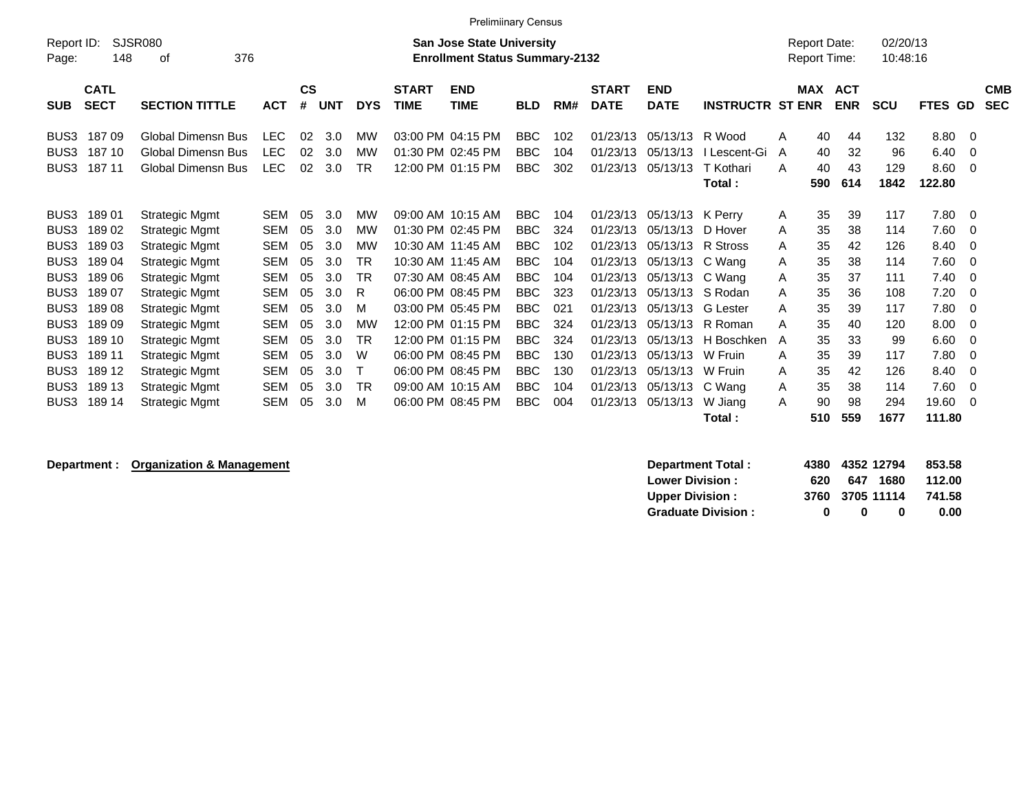|                  |             |                           |            |           |            |            |              | <b>Prelimiinary Census</b>            |            |     |              |                  |                         |                     |            |            |                |                          |            |
|------------------|-------------|---------------------------|------------|-----------|------------|------------|--------------|---------------------------------------|------------|-----|--------------|------------------|-------------------------|---------------------|------------|------------|----------------|--------------------------|------------|
| Report ID:       |             | SJSR080                   |            |           |            |            |              | <b>San Jose State University</b>      |            |     |              |                  |                         | <b>Report Date:</b> |            | 02/20/13   |                |                          |            |
| Page:            | 148         | 376<br>οf                 |            |           |            |            |              | <b>Enrollment Status Summary-2132</b> |            |     |              |                  |                         | <b>Report Time:</b> |            | 10:48:16   |                |                          |            |
|                  | <b>CATL</b> |                           |            | <b>CS</b> |            |            | <b>START</b> | <b>END</b>                            |            |     | <b>START</b> | <b>END</b>       |                         | <b>MAX</b>          | <b>ACT</b> |            |                |                          | <b>CMB</b> |
| <b>SUB</b>       | <b>SECT</b> | <b>SECTION TITTLE</b>     | <b>ACT</b> | #         | <b>UNT</b> | <b>DYS</b> | <b>TIME</b>  | <b>TIME</b>                           | <b>BLD</b> | RM# | <b>DATE</b>  | <b>DATE</b>      | <b>INSTRUCTR ST ENR</b> |                     | <b>ENR</b> | <b>SCU</b> | FTES GD        |                          | <b>SEC</b> |
| BUS3             | 18709       | Global Dimensn Bus        | <b>LEC</b> | 02        | 3.0        | МW         |              | 03:00 PM 04:15 PM                     | <b>BBC</b> | 102 | 01/23/13     | 05/13/13         | R Wood                  | 40<br>A             | 44         | 132        | 8.80 0         |                          |            |
| BUS <sub>3</sub> | 187 10      | <b>Global Dimensn Bus</b> | <b>LEC</b> | 02        | 3.0        | <b>MW</b>  |              | 01:30 PM 02:45 PM                     | <b>BBC</b> | 104 | 01/23/13     | 05/13/13         | I Lescent-Gi            | 40<br>A             | 32         | 96         | 6.40           | $\overline{\phantom{0}}$ |            |
| BUS3             | 187 11      | <b>Global Dimensn Bus</b> | <b>LEC</b> | 02        | 3.0        | <b>TR</b>  |              | 12:00 PM 01:15 PM                     | <b>BBC</b> | 302 | 01/23/13     | 05/13/13         | T Kothari               | 40<br>A             | 43         | 129        | $8.60 \quad 0$ |                          |            |
|                  |             |                           |            |           |            |            |              |                                       |            |     |              |                  | Total:                  | 590                 | 614        | 1842       | 122.80         |                          |            |
| BUS3             | 18901       | Strategic Mgmt            | <b>SEM</b> | 05        | 3.0        | МW         |              | 09:00 AM 10:15 AM                     | <b>BBC</b> | 104 | 01/23/13     | 05/13/13         | K Perrv                 | 35<br>A             | 39         | 117        | $7.80 \quad 0$ |                          |            |
| BUS <sub>3</sub> | 18902       | Strategic Mgmt            | <b>SEM</b> | 05        | 3.0        | <b>MW</b>  |              | 01:30 PM 02:45 PM                     | <b>BBC</b> | 324 | 01/23/13     | 05/13/13         | D Hover                 | 35<br>A             | 38         | 114        | $7.60 \t 0$    |                          |            |
| BUS3             | 18903       | Strategic Mgmt            | <b>SEM</b> | 05        | 3.0        | МW         |              | 10:30 AM 11:45 AM                     | <b>BBC</b> | 102 | 01/23/13     | 05/13/13         | R Stross                | 35<br>A             | 42         | 126        | 8.40           | $\overline{\phantom{0}}$ |            |
| BUS3             | 18904       | Strategic Mgmt            | <b>SEM</b> | 05        | 3.0        | TR         |              | 10:30 AM 11:45 AM                     | <b>BBC</b> | 104 | 01/23/13     | 05/13/13         | C Wang                  | 35<br>A             | 38         | 114        | $7.60 \t 0$    |                          |            |
| BUS3             | 18906       | <b>Strategic Mgmt</b>     | SEM        | 05        | 3.0        | TR         |              | 07:30 AM 08:45 AM                     | <b>BBC</b> | 104 | 01/23/13     | 05/13/13 C Wang  |                         | 35<br>A             | 37         | 111        | $7.40 \quad 0$ |                          |            |
| BUS <sub>3</sub> | 18907       | <b>Strategic Mgmt</b>     | SEM        | 05        | 3.0        | R          |              | 06:00 PM 08:45 PM                     | <b>BBC</b> | 323 | 01/23/13     | 05/13/13 S Rodan |                         | 35<br>A             | 36         | 108        | 7.20           | $\overline{\phantom{0}}$ |            |
| BUS3             | 18908       | <b>Strategic Mgmt</b>     | SEM        | 05        | 3.0        | м          |              | 03:00 PM 05:45 PM                     | <b>BBC</b> | 021 | 01/23/13     | 05/13/13         | <b>G</b> Lester         | 35<br>A             | 39         | 117        | $7.80 \quad 0$ |                          |            |
| BUS3             | 18909       | <b>Strategic Mgmt</b>     | SEM        | 05        | 3.0        | MW         |              | 12:00 PM 01:15 PM                     | <b>BBC</b> | 324 | 01/23/13     | 05/13/13         | R Roman                 | 35<br>A             | 40         | 120        | 8.00           | $\overline{0}$           |            |
| BUS <sub>3</sub> | 189 10      | <b>Strategic Mgmt</b>     | <b>SEM</b> | 05        | 3.0        | <b>TR</b>  |              | 12:00 PM 01:15 PM                     | <b>BBC</b> | 324 | 01/23/13     | 05/13/13         | H Boschken              | 35<br>A             | 33         | 99         | $6.60\quad 0$  |                          |            |
| BUS3             | 189 11      | Strategic Mgmt            | SEM        | 05        | 3.0        | W          |              | 06:00 PM 08:45 PM                     | <b>BBC</b> | 130 | 01/23/13     | 05/13/13         | W Fruin                 | 35<br>A             | 39         | 117        | 7.80           | $\overline{\phantom{0}}$ |            |
| BUS <sub>3</sub> | 189 12      | Strategic Mgmt            | <b>SEM</b> | 05        | 3.0        |            |              | 06:00 PM 08:45 PM                     | <b>BBC</b> | 130 | 01/23/13     | 05/13/13         | W Fruin                 | 35<br>A             | 42         | 126        | 8.40           | $\overline{0}$           |            |
| BUS3             | 189 13      | <b>Strategic Mgmt</b>     | SEM        | 05        | 3.0        | <b>TR</b>  |              | 09:00 AM 10:15 AM                     | <b>BBC</b> | 104 | 01/23/13     | 05/13/13         | C Wang                  | 35<br>A             | 38         | 114        | $7.60 \t 0$    |                          |            |
| BUS3             | 189 14      | <b>Strategic Mgmt</b>     | SEM        | 05        | 3.0        | M          |              | 06:00 PM 08:45 PM                     | <b>BBC</b> | 004 | 01/23/13     | 05/13/13         | W Jiang                 | 90<br>A             | 98         | 294        | 19.60 0        |                          |            |
|                  |             |                           |            |           |            |            |              |                                       |            |     |              |                  | Total :                 | 510                 | 559        | 1677       | 111.80         |                          |            |

**Department : Organization & Management** 

| Department Total:         |     | 4380 4352 12794 |      | 853.58 |
|---------------------------|-----|-----------------|------|--------|
| <b>Lower Division:</b>    | 620 | 647             | 1680 | 112.00 |
| <b>Upper Division:</b>    |     | 3760 3705 11114 |      | 741.58 |
| <b>Graduate Division:</b> | n   | n               | 0    | 0.00   |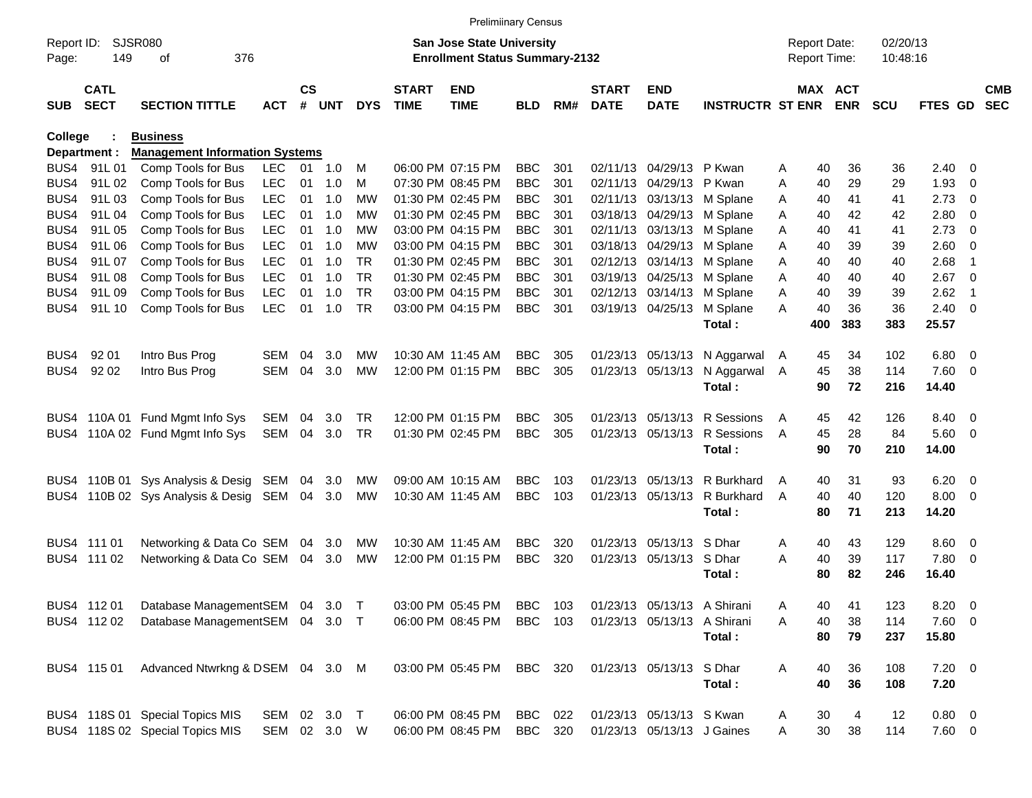|                     |                            |                                       |              |                    |            |            |                             | <b>Prelimiinary Census</b>                                                |            |     |                             |                             |                         |                                     |                       |                      |             |                          |                          |
|---------------------|----------------------------|---------------------------------------|--------------|--------------------|------------|------------|-----------------------------|---------------------------------------------------------------------------|------------|-----|-----------------------------|-----------------------------|-------------------------|-------------------------------------|-----------------------|----------------------|-------------|--------------------------|--------------------------|
| Report ID:<br>Page: | 149                        | <b>SJSR080</b><br>376<br>οf           |              |                    |            |            |                             | <b>San Jose State University</b><br><b>Enrollment Status Summary-2132</b> |            |     |                             |                             |                         | <b>Report Date:</b><br>Report Time: |                       | 02/20/13<br>10:48:16 |             |                          |                          |
| <b>SUB</b>          | <b>CATL</b><br><b>SECT</b> | <b>SECTION TITTLE</b>                 | <b>ACT</b>   | $\mathsf{cs}$<br># | <b>UNT</b> | <b>DYS</b> | <b>START</b><br><b>TIME</b> | <b>END</b><br><b>TIME</b>                                                 | <b>BLD</b> | RM# | <b>START</b><br><b>DATE</b> | <b>END</b><br><b>DATE</b>   | <b>INSTRUCTR ST ENR</b> |                                     | MAX ACT<br><b>ENR</b> | <b>SCU</b>           | FTES GD     |                          | <b>CMB</b><br><b>SEC</b> |
| <b>College</b>      |                            | <b>Business</b>                       |              |                    |            |            |                             |                                                                           |            |     |                             |                             |                         |                                     |                       |                      |             |                          |                          |
|                     | Department :               | <b>Management Information Systems</b> |              |                    |            |            |                             |                                                                           |            |     |                             |                             |                         |                                     |                       |                      |             |                          |                          |
|                     | BUS4 91L 01                | Comp Tools for Bus                    | <b>LEC</b>   | 01                 | 1.0        | M          |                             | 06:00 PM 07:15 PM                                                         | <b>BBC</b> | 301 |                             | 02/11/13 04/29/13           | P Kwan                  | 40<br>Α                             | 36                    | 36                   | $2.40 \ 0$  |                          |                          |
| BUS4                | 91L02                      | Comp Tools for Bus                    | <b>LEC</b>   | 01                 | 1.0        | M          |                             | 07:30 PM 08:45 PM                                                         | <b>BBC</b> | 301 |                             | 02/11/13 04/29/13           | P Kwan                  | Α<br>40                             | 29                    | 29                   | 1.93        | 0                        |                          |
| BUS4                | 91L03                      | Comp Tools for Bus                    | <b>LEC</b>   | 01                 | 1.0        | МW         |                             | 01:30 PM 02:45 PM                                                         | <b>BBC</b> | 301 |                             | 02/11/13 03/13/13           | M Splane                | 40<br>Α                             | 41                    | 41                   | 2.73        | 0                        |                          |
| BUS4                | 91L 04                     | Comp Tools for Bus                    | <b>LEC</b>   | 01                 | 1.0        | МW         |                             | 01:30 PM 02:45 PM                                                         | <b>BBC</b> | 301 |                             | 03/18/13 04/29/13           | M Splane                | Α<br>40                             | 42                    | 42                   | 2.80        | 0                        |                          |
| BUS4                | 91L 05                     | Comp Tools for Bus                    | <b>LEC</b>   | 01                 | 1.0        | МW         |                             | 03:00 PM 04:15 PM                                                         | <b>BBC</b> | 301 |                             | 02/11/13 03/13/13           | M Splane                | 40<br>A                             | 41                    | 41                   | 2.73        | 0                        |                          |
| BUS4                | 91L 06                     | Comp Tools for Bus                    | <b>LEC</b>   | 01                 | 1.0        | МW         |                             | 03:00 PM 04:15 PM                                                         | <b>BBC</b> | 301 |                             | 03/18/13 04/29/13           | M Splane                | 40<br>Α                             | 39                    | 39                   | 2.60        | 0                        |                          |
| BUS4                | 91L 07                     | Comp Tools for Bus                    | <b>LEC</b>   | 01                 | 1.0        | <b>TR</b>  |                             | 01:30 PM 02:45 PM                                                         | <b>BBC</b> | 301 |                             | 02/12/13 03/14/13           | M Splane                | 40<br>Α                             | 40                    | 40                   | 2.68        | -1                       |                          |
| BUS4                | 91L 08                     | Comp Tools for Bus                    | <b>LEC</b>   | 01                 | 1.0        | <b>TR</b>  |                             | 01:30 PM 02:45 PM                                                         | <b>BBC</b> | 301 |                             | 03/19/13 04/25/13           | M Splane                | 40<br>A                             | 40                    | 40                   | 2.67        | 0                        |                          |
| BUS4                | 91L09                      | Comp Tools for Bus                    | <b>LEC</b>   | 01                 | 1.0        | <b>TR</b>  |                             | 03:00 PM 04:15 PM                                                         | <b>BBC</b> | 301 |                             | 02/12/13 03/14/13           | M Splane                | Α<br>40                             | 39                    | 39                   | 2.62        | -1                       |                          |
| BUS4                | 91L 10                     | Comp Tools for Bus                    | <b>LEC</b>   | 01                 | 1.0        | TR         |                             | 03:00 PM 04:15 PM                                                         | <b>BBC</b> | 301 |                             | 03/19/13 04/25/13           | M Splane                | 40<br>A                             | 36                    | 36                   | 2.40        | $\overline{0}$           |                          |
|                     |                            |                                       |              |                    |            |            |                             |                                                                           |            |     |                             |                             | Total:                  | 400                                 | 383                   | 383                  | 25.57       |                          |                          |
|                     |                            |                                       |              |                    |            |            |                             |                                                                           |            |     |                             |                             |                         |                                     |                       |                      |             |                          |                          |
| BUS4                | 92 01                      | Intro Bus Prog                        | SEM          | 04                 | 3.0        | MW         |                             | 10:30 AM 11:45 AM                                                         | <b>BBC</b> | 305 |                             | 01/23/13 05/13/13           | N Aggarwal              | A<br>45                             | 34                    | 102                  | 6.80        | $\overline{\mathbf{0}}$  |                          |
| BUS4                | 92 02                      | Intro Bus Prog                        | <b>SEM</b>   | 04                 | 3.0        | MW         |                             | 12:00 PM 01:15 PM                                                         | <b>BBC</b> | 305 |                             | 01/23/13 05/13/13           | N Aggarwal              | 45<br>A                             | 38                    | 114                  | 7.60        | 0                        |                          |
|                     |                            |                                       |              |                    |            |            |                             |                                                                           |            |     |                             |                             | Total:                  | 90                                  | 72                    | 216                  | 14.40       |                          |                          |
|                     |                            | BUS4 110A 01 Fund Mgmt Info Sys       | SEM          | 04                 | 3.0        | <b>TR</b>  |                             | 12:00 PM 01:15 PM                                                         | <b>BBC</b> | 305 |                             | 01/23/13 05/13/13           | R Sessions              | 45<br>A                             | 42                    | 126                  | 8.40 0      |                          |                          |
| BUS4                |                            | 110A 02 Fund Mgmt Info Sys            | SEM          | 04                 | 3.0        | <b>TR</b>  |                             | 01:30 PM 02:45 PM                                                         | <b>BBC</b> | 305 |                             | 01/23/13 05/13/13           | R Sessions              | 45<br>$\overline{A}$                | 28                    | 84                   | 5.60        | 0                        |                          |
|                     |                            |                                       |              |                    |            |            |                             |                                                                           |            |     |                             |                             | Total:                  | 90                                  | 70                    | 210                  | 14.00       |                          |                          |
|                     |                            |                                       |              |                    |            |            |                             |                                                                           |            |     |                             |                             |                         |                                     |                       |                      |             |                          |                          |
|                     |                            | BUS4 110B 01 Sys Analysis & Desig     | SEM          | 04                 | 3.0        | MW         |                             | 09:00 AM 10:15 AM                                                         | <b>BBC</b> | 103 |                             | 01/23/13 05/13/13           | R Burkhard              | 40<br>A                             | 31                    | 93                   | 6.20        | $\overline{\phantom{0}}$ |                          |
| BUS4                |                            | 110B 02 Sys Analysis & Desig          | SEM          | 04                 | 3.0        | MW         |                             | 10:30 AM 11:45 AM                                                         | <b>BBC</b> | 103 |                             | 01/23/13 05/13/13           | R Burkhard              | 40<br>$\overline{A}$                | 40                    | 120                  | 8.00        | 0                        |                          |
|                     |                            |                                       |              |                    |            |            |                             |                                                                           |            |     |                             |                             | Total:                  | 80                                  | 71                    | 213                  | 14.20       |                          |                          |
|                     |                            |                                       |              |                    |            |            |                             |                                                                           |            |     |                             |                             |                         |                                     |                       |                      |             |                          |                          |
|                     | BUS4 111 01                | Networking & Data Co SEM              |              | 04                 | 3.0        | <b>MW</b>  |                             | 10:30 AM 11:45 AM                                                         | <b>BBC</b> | 320 |                             | 01/23/13 05/13/13           | S Dhar                  | Α<br>40                             | 43                    | 129                  | 8.60        | $\overline{\phantom{0}}$ |                          |
|                     | BUS4 111 02                | Networking & Data Co SEM              |              | 04                 | 3.0        | MW         |                             | 12:00 PM 01:15 PM                                                         | <b>BBC</b> | 320 |                             | 01/23/13 05/13/13           | S Dhar                  | A<br>40                             | 39                    | 117                  | 7.80        | $\overline{\mathbf{0}}$  |                          |
|                     |                            |                                       |              |                    |            |            |                             |                                                                           |            |     |                             |                             | Total:                  | 80                                  | 82                    | 246                  | 16.40       |                          |                          |
|                     |                            |                                       |              |                    |            |            |                             |                                                                           |            |     |                             |                             |                         |                                     |                       |                      |             |                          |                          |
|                     | BUS4 112 01                | Database ManagementSEM 04 3.0         |              |                    |            | $\top$     |                             | 03:00 PM 05:45 PM                                                         | <b>BBC</b> | 103 |                             | 01/23/13 05/13/13 A Shirani |                         | 40<br>Α                             | 41                    | 123                  | $8.20 \ 0$  |                          |                          |
|                     | BUS4 112 02                | Database ManagementSEM 04 3.0         |              |                    |            | $\top$     |                             | 06:00 PM 08:45 PM                                                         | <b>BBC</b> | 103 |                             | 01/23/13 05/13/13           | A Shirani               | 40<br>Α                             | 38                    | 114                  | $7.60$ 0    |                          |                          |
|                     |                            |                                       |              |                    |            |            |                             |                                                                           |            |     |                             |                             | Total:                  | 80                                  | 79                    | 237                  | 15.80       |                          |                          |
|                     |                            |                                       |              |                    |            |            |                             |                                                                           |            |     |                             |                             |                         |                                     |                       |                      |             |                          |                          |
|                     | BUS4 115 01                | Advanced Ntwrkng & DSEM 04 3.0 M      |              |                    |            |            |                             | 03:00 PM 05:45 PM                                                         | BBC        | 320 |                             | 01/23/13 05/13/13 S Dhar    |                         | 40<br>A                             | 36                    | 108                  | $7.20 \t 0$ |                          |                          |
|                     |                            |                                       |              |                    |            |            |                             |                                                                           |            |     |                             |                             | Total:                  | 40                                  | 36                    | 108                  | 7.20        |                          |                          |
|                     |                            |                                       |              |                    |            |            |                             |                                                                           |            |     |                             |                             |                         |                                     |                       |                      |             |                          |                          |
|                     |                            | BUS4 118S 01 Special Topics MIS       | SEM          |                    | 02 3.0     | $\top$     |                             | 06:00 PM 08:45 PM                                                         | BBC        | 022 |                             | 01/23/13 05/13/13 S Kwan    |                         | 30<br>A                             | 4                     | 12                   | 0.80 0      |                          |                          |
|                     |                            | BUS4 118S 02 Special Topics MIS       | SEM 02 3.0 W |                    |            |            |                             | 06:00 PM 08:45 PM                                                         | BBC 320    |     |                             | 01/23/13 05/13/13 J Gaines  |                         | 30<br>Α                             | 38                    | 114                  | $7.60\ 0$   |                          |                          |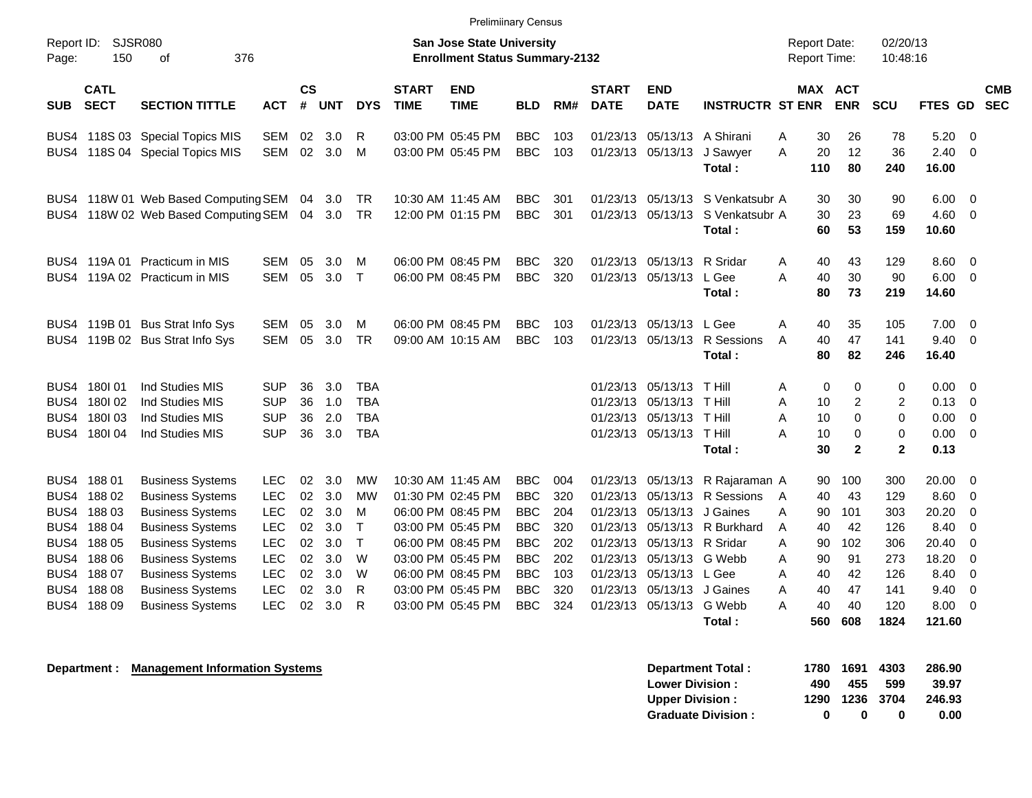|                     |                            |                                             |                          |                    |            |                          |                             | <b>Prelimiinary Census</b>                                                |            |     |                             |                                               |                                            |                                     |                       |                      |                      |                          |            |
|---------------------|----------------------------|---------------------------------------------|--------------------------|--------------------|------------|--------------------------|-----------------------------|---------------------------------------------------------------------------|------------|-----|-----------------------------|-----------------------------------------------|--------------------------------------------|-------------------------------------|-----------------------|----------------------|----------------------|--------------------------|------------|
| Report ID:<br>Page: | 150                        | <b>SJSR080</b><br>376<br>οf                 |                          |                    |            |                          |                             | <b>San Jose State University</b><br><b>Enrollment Status Summary-2132</b> |            |     |                             |                                               |                                            | <b>Report Date:</b><br>Report Time: |                       | 02/20/13<br>10:48:16 |                      |                          |            |
| <b>SUB</b>          | <b>CATL</b><br><b>SECT</b> | <b>SECTION TITTLE</b>                       | <b>ACT</b>               | $\mathsf{cs}$<br># | <b>UNT</b> | <b>DYS</b>               | <b>START</b><br><b>TIME</b> | <b>END</b><br><b>TIME</b>                                                 | <b>BLD</b> | RM# | <b>START</b><br><b>DATE</b> | <b>END</b><br><b>DATE</b>                     | <b>INSTRUCTR ST ENR</b>                    |                                     | MAX ACT<br><b>ENR</b> | <b>SCU</b>           | FTES GD SEC          |                          | <b>CMB</b> |
| BUS4                |                            | 118S 03 Special Topics MIS                  | SEM                      | 02                 | 3.0        | R                        |                             | 03:00 PM 05:45 PM                                                         | <b>BBC</b> | 103 |                             | 01/23/13 05/13/13                             | A Shirani                                  | 30<br>Α                             | 26                    | 78                   | 5.20                 | $\overline{\phantom{0}}$ |            |
|                     |                            | BUS4 118S 04 Special Topics MIS             | SEM                      | 02                 | 3.0        | M                        |                             | 03:00 PM 05:45 PM                                                         | <b>BBC</b> | 103 |                             | 01/23/13 05/13/13                             | J Sawyer<br>Total:                         | A<br>20<br>110                      | 12<br>80              | 36<br>240            | 2.40<br>16.00        | $\overline{\phantom{0}}$ |            |
| BUS4                |                            | 118W 01 Web Based Computing SEM 04          |                          |                    | 3.0        | <b>TR</b>                |                             | 10:30 AM 11:45 AM                                                         | <b>BBC</b> | 301 |                             | 01/23/13 05/13/13                             | S Venkatsubr A                             | 30                                  | 30                    | 90                   | 6.00                 | $\overline{\phantom{0}}$ |            |
|                     |                            | BUS4 118W 02 Web Based Computing SEM 04 3.0 |                          |                    |            | -TR                      |                             | 12:00 PM 01:15 PM                                                         | <b>BBC</b> | 301 |                             |                                               | 01/23/13 05/13/13 S Venkatsubr A<br>Total: | 30<br>60                            | 23<br>53              | 69<br>159            | $4.60 \ 0$<br>10.60  |                          |            |
| BUS4                | 119A 01                    | <b>Practicum in MIS</b>                     | <b>SEM</b>               | 05                 | 3.0        | м                        |                             | 06:00 PM 08:45 PM                                                         | <b>BBC</b> | 320 | 01/23/13                    | 05/13/13                                      | R Sridar                                   | A<br>40                             | 43                    | 129                  | 8.60                 | $\overline{\phantom{0}}$ |            |
| BUS4                |                            | 119A 02 Practicum in MIS                    | <b>SEM</b>               | 05                 | 3.0        | $\top$                   |                             | 06:00 PM 08:45 PM                                                         | <b>BBC</b> | 320 |                             | 01/23/13 05/13/13                             | L Gee<br>Total:                            | A<br>40<br>80                       | 30<br>73              | 90<br>219            | 6.00<br>14.60        | $\overline{\phantom{0}}$ |            |
| BUS4                |                            | 119B 01 Bus Strat Info Sys                  | <b>SEM</b>               | 05                 | 3.0        | м                        |                             | 06:00 PM 08:45 PM                                                         | <b>BBC</b> | 103 |                             | 01/23/13 05/13/13                             | L Gee                                      | Α<br>40                             | 35                    | 105                  | 7.00                 | $\overline{\phantom{0}}$ |            |
| BUS4                |                            | 119B 02 Bus Strat Info Sys                  | SEM                      | 05                 | 3.0        | TR.                      |                             | 09:00 AM 10:15 AM                                                         | <b>BBC</b> | 103 |                             | 01/23/13 05/13/13                             | R Sessions<br>Total:                       | 40<br>A<br>80                       | 47<br>82              | 141<br>246           | 9.40<br>16.40        | $\overline{\phantom{0}}$ |            |
|                     |                            |                                             |                          |                    |            |                          |                             |                                                                           |            |     |                             |                                               |                                            |                                     |                       |                      |                      |                          |            |
| BUS4                | 180101<br>180102           | Ind Studies MIS<br>Ind Studies MIS          | <b>SUP</b><br><b>SUP</b> | 36                 | 3.0        | <b>TBA</b>               |                             |                                                                           |            |     |                             | 01/23/13 05/13/13<br>01/23/13 05/13/13 T Hill | T Hill                                     | Α                                   | 0<br>0                | 0                    | 0.00 0<br>$0.13 \ 0$ |                          |            |
| BUS4<br>BUS4        | 180103                     | Ind Studies MIS                             | <b>SUP</b>               | 36<br>36           | 1.0<br>2.0 | <b>TBA</b><br><b>TBA</b> |                             |                                                                           |            |     |                             | 01/23/13 05/13/13 T Hill                      |                                            | A<br>10<br>Α<br>10                  | 2<br>0                | $\overline{2}$<br>0  | 0.00                 | $\overline{\phantom{0}}$ |            |
| BUS4                | 180I 04                    | Ind Studies MIS                             | <b>SUP</b>               | 36                 | 3.0        | <b>TBA</b>               |                             |                                                                           |            |     |                             | 01/23/13 05/13/13 T Hill                      |                                            | 10<br>A                             | 0                     | 0                    | $0.00 \t 0$          |                          |            |
|                     |                            |                                             |                          |                    |            |                          |                             |                                                                           |            |     |                             |                                               | Total:                                     | 30                                  | $\mathbf{2}$          | $\mathbf{2}$         | 0.13                 |                          |            |
| BUS4                | 18801                      | <b>Business Systems</b>                     | <b>LEC</b>               | 02                 | 3.0        | <b>MW</b>                |                             | 10:30 AM 11:45 AM                                                         | <b>BBC</b> | 004 |                             |                                               | 01/23/13 05/13/13 R Rajaraman A            | 90                                  | 100                   | 300                  | 20.00                | $\overline{\mathbf{0}}$  |            |
| BUS4                | 18802                      | <b>Business Systems</b>                     | <b>LEC</b>               | 02                 | 3.0        | <b>MW</b>                |                             | 01:30 PM 02:45 PM                                                         | <b>BBC</b> | 320 |                             | 01/23/13 05/13/13                             | R Sessions                                 | 40<br>A                             | 43                    | 129                  | 8.60                 | $\overline{\mathbf{0}}$  |            |
| BUS4                | 18803                      | <b>Business Systems</b>                     | <b>LEC</b>               | 02                 | 3.0        | м                        |                             | 06:00 PM 08:45 PM                                                         | <b>BBC</b> | 204 | 01/23/13                    | 05/13/13                                      | J Gaines                                   | 90<br>A                             | 101                   | 303                  | 20.20                | -0                       |            |
| BUS4                | 18804                      | <b>Business Systems</b>                     | <b>LEC</b>               | 02                 | 3.0        | Т                        |                             | 03:00 PM 05:45 PM                                                         | <b>BBC</b> | 320 | 01/23/13                    | 05/13/13                                      | R Burkhard                                 | 40<br>Α                             | 42                    | 126                  | 8.40                 | - 0                      |            |
| BUS4                | 18805                      | <b>Business Systems</b>                     | <b>LEC</b>               | 02                 | 3.0        | $\mathsf T$              |                             | 06:00 PM 08:45 PM                                                         | <b>BBC</b> | 202 | 01/23/13                    | 05/13/13 R Sridar                             |                                            | 90<br>A                             | 102                   | 306                  | 20.40                | -0                       |            |
| BUS4                | 18806                      | <b>Business Systems</b>                     | <b>LEC</b>               | 02                 | 3.0        | W                        |                             | 03:00 PM 05:45 PM                                                         | <b>BBC</b> | 202 | 01/23/13                    | 05/13/13                                      | G Webb                                     | 90<br>A                             | 91                    | 273                  | 18.20                | $\overline{0}$           |            |
| BUS4                | 18807                      | <b>Business Systems</b>                     | <b>LEC</b>               | 02                 | 3.0        | W                        |                             | 06:00 PM 08:45 PM                                                         | <b>BBC</b> | 103 | 01/23/13                    | 05/13/13 L Gee                                |                                            | 40<br>Α                             | 42                    | 126                  | 8.40                 | $\overline{0}$           |            |
| BUS4                | 18808                      | <b>Business Systems</b>                     | <b>LEC</b>               | 02                 | 3.0        | R                        |                             | 03:00 PM 05:45 PM                                                         | <b>BBC</b> | 320 | 01/23/13                    | 05/13/13                                      | J Gaines                                   | 40<br>A                             | 47                    | 141                  | 9.40                 | 0                        |            |
| BUS4                | 18809                      | <b>Business Systems</b>                     | <b>LEC</b>               | 02                 | 3.0        | R                        |                             | 03:00 PM 05:45 PM                                                         | <b>BBC</b> | 324 |                             | 01/23/13 05/13/13                             | G Webb                                     | Α<br>40                             | 40                    | 120                  | 8.00                 | $\Omega$                 |            |

**Total : 560 608 1824 121.60**

**Department : Management Information Systems 1780 1691 1780 1691 4303 286.90 Lower Division : 490 455 599 39.97<br>
Upper Division : 4290 1236 3704 246.93 Upper Division : 1290 1236 3704 246.93 Graduate Division : 0 0 0 0.00**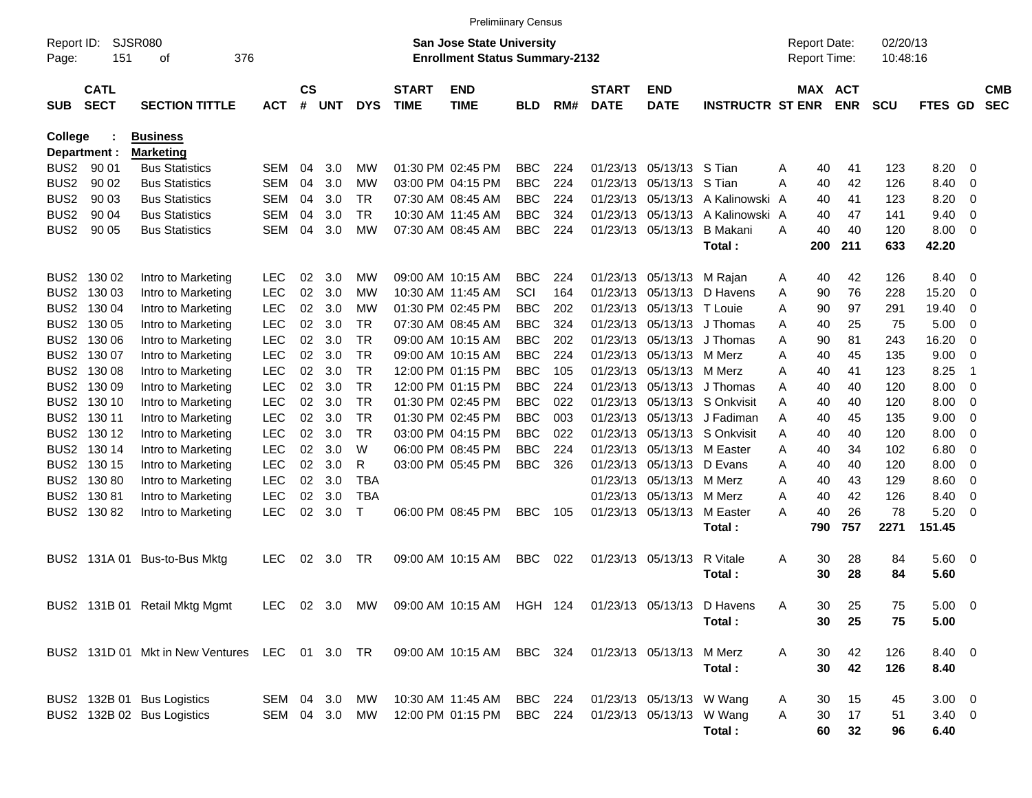|                     |                            |                                                |            |                                                                           |     |            |                             | <b>Prelimiinary Census</b>                                         |            |     |                             |                                                |                                |   |                      |            |            |                     |                          |                          |
|---------------------|----------------------------|------------------------------------------------|------------|---------------------------------------------------------------------------|-----|------------|-----------------------------|--------------------------------------------------------------------|------------|-----|-----------------------------|------------------------------------------------|--------------------------------|---|----------------------|------------|------------|---------------------|--------------------------|--------------------------|
| Report ID:<br>Page: | 151                        | SJSR080<br>376<br>οf                           |            | <b>San Jose State University</b><br><b>Enrollment Status Summary-2132</b> |     |            |                             |                                                                    |            |     |                             | <b>Report Date:</b><br>Report Time:<br>MAX ACT |                                |   | 02/20/13<br>10:48:16 |            |            |                     |                          |                          |
| <b>SUB</b>          | <b>CATL</b><br><b>SECT</b> | <b>SECTION TITTLE</b>                          | <b>ACT</b> | $\mathsf{cs}$<br>#                                                        | UNT | <b>DYS</b> | <b>START</b><br><b>TIME</b> | <b>END</b><br><b>TIME</b>                                          | <b>BLD</b> | RM# | <b>START</b><br><b>DATE</b> | <b>END</b><br><b>DATE</b>                      | <b>INSTRUCTR ST ENR</b>        |   |                      | <b>ENR</b> | <b>SCU</b> | FTES GD             |                          | <b>CMB</b><br><b>SEC</b> |
| <b>College</b>      |                            | <b>Business</b>                                |            |                                                                           |     |            |                             |                                                                    |            |     |                             |                                                |                                |   |                      |            |            |                     |                          |                          |
|                     | Department :               | <b>Marketing</b>                               |            |                                                                           |     |            |                             |                                                                    |            |     |                             |                                                |                                |   |                      |            |            |                     |                          |                          |
| BUS <sub>2</sub>    | 90 01                      | <b>Bus Statistics</b>                          | SEM        | 04                                                                        | 3.0 | МW         |                             | 01:30 PM 02:45 PM                                                  | <b>BBC</b> | 224 |                             | 01/23/13 05/13/13 S Tian                       |                                | Α | 40                   | 41         | 123        | 8.20                | - 0                      |                          |
| BUS <sub>2</sub>    | 90 02                      | <b>Bus Statistics</b>                          | <b>SEM</b> | 04                                                                        | 3.0 | МW         |                             | 03:00 PM 04:15 PM                                                  | <b>BBC</b> | 224 |                             | 01/23/13 05/13/13 S Tian                       |                                | Α | 40                   | 42         | 126        | 8.40                | $\overline{0}$           |                          |
| BUS <sub>2</sub>    | 90 03                      | <b>Bus Statistics</b>                          | SEM        | 04                                                                        | 3.0 | TR         |                             | 07:30 AM 08:45 AM                                                  | <b>BBC</b> | 224 |                             |                                                | 01/23/13 05/13/13 A Kalinowski | A | 40                   | 41         | 123        | 8.20                | 0                        |                          |
| BUS <sub>2</sub>    | 90 04                      | <b>Bus Statistics</b>                          | SEM        | 04                                                                        | 3.0 | TR         |                             | 10:30 AM 11:45 AM                                                  | <b>BBC</b> | 324 |                             | 01/23/13 05/13/13                              | A Kalinowski A                 |   | 40                   | 47         | 141        | 9.40                | 0                        |                          |
| BUS <sub>2</sub>    | 90 05                      | <b>Bus Statistics</b>                          | <b>SEM</b> | 04                                                                        | 3.0 | <b>MW</b>  |                             | 07:30 AM 08:45 AM                                                  | <b>BBC</b> | 224 |                             | 01/23/13 05/13/13                              | B Makani                       | A | 40                   | 40         | 120        | 8.00                | $\overline{\phantom{0}}$ |                          |
|                     |                            |                                                |            |                                                                           |     |            |                             |                                                                    |            |     |                             |                                                | Total:                         |   | 200                  | 211        | 633        | 42.20               |                          |                          |
|                     | BUS2 130 02                | Intro to Marketing                             | <b>LEC</b> | 02                                                                        | 3.0 | МW         |                             | 09:00 AM 10:15 AM                                                  | <b>BBC</b> | 224 |                             | 01/23/13 05/13/13                              | M Rajan                        | A | 40                   | 42         | 126        | 8.40                | - 0                      |                          |
| BUS2                | 130 03                     | Intro to Marketing                             | <b>LEC</b> | 02                                                                        | 3.0 | МW         |                             | 10:30 AM 11:45 AM                                                  | SCI        | 164 |                             | 01/23/13 05/13/13                              | D Havens                       | A | 90                   | 76         | 228        | 15.20               | 0                        |                          |
|                     | BUS2 130 04                | Intro to Marketing                             | <b>LEC</b> | 02                                                                        | 3.0 | МW         |                             | 01:30 PM 02:45 PM                                                  | <b>BBC</b> | 202 |                             | 01/23/13 05/13/13 T Louie                      |                                | A | 90                   | 97         | 291        | 19.40               | 0                        |                          |
|                     | BUS2 130 05                | Intro to Marketing                             | <b>LEC</b> | 02                                                                        | 3.0 | TR         |                             | 07:30 AM 08:45 AM                                                  | <b>BBC</b> | 324 |                             | 01/23/13 05/13/13                              | J Thomas                       | A | 40                   | 25         | 75         | 5.00                | $\overline{0}$           |                          |
|                     | BUS2 130 06                | Intro to Marketing                             | <b>LEC</b> | 02                                                                        | 3.0 | TR         |                             | 09:00 AM 10:15 AM                                                  | <b>BBC</b> | 202 |                             | 01/23/13 05/13/13                              | J Thomas                       | A | 90                   | 81         | 243        | 16.20               | -0                       |                          |
|                     | BUS2 130 07                | Intro to Marketing                             | <b>LEC</b> | 02                                                                        | 3.0 | TR         |                             | 09:00 AM 10:15 AM                                                  | <b>BBC</b> | 224 |                             | 01/23/13 05/13/13 M Merz                       |                                | A | 40                   | 45         | 135        | 9.00                | - 0                      |                          |
|                     | BUS2 130 08                | Intro to Marketing                             | <b>LEC</b> | 02                                                                        | 3.0 | TR         |                             | 12:00 PM 01:15 PM                                                  | <b>BBC</b> | 105 |                             | 01/23/13 05/13/13 M Merz                       |                                | A | 40                   | 41         | 123        | 8.25                | -1                       |                          |
|                     | BUS2 130 09                | Intro to Marketing                             | <b>LEC</b> | 02                                                                        | 3.0 | TR         |                             | 12:00 PM 01:15 PM                                                  | <b>BBC</b> | 224 |                             |                                                | 01/23/13 05/13/13 J Thomas     | A | 40                   | 40         | 120        | 8.00                | $\overline{0}$           |                          |
|                     | BUS2 130 10                | Intro to Marketing                             | <b>LEC</b> | 02                                                                        | 3.0 | TR         |                             | 01:30 PM 02:45 PM                                                  | <b>BBC</b> | 022 |                             |                                                | 01/23/13  05/13/13  S Onkvisit | A | 40                   | 40         | 120        | 8.00                | $\overline{0}$           |                          |
|                     | BUS2 130 11                | Intro to Marketing                             | <b>LEC</b> | 02                                                                        | 3.0 | TR         |                             | 01:30 PM 02:45 PM                                                  | <b>BBC</b> | 003 |                             |                                                | 01/23/13 05/13/13 J Fadiman    | A | 40                   | 45         | 135        | 9.00                | 0                        |                          |
|                     | BUS2 130 12                | Intro to Marketing                             | <b>LEC</b> | 02                                                                        | 3.0 | TR         |                             | 03:00 PM 04:15 PM                                                  | <b>BBC</b> | 022 |                             |                                                | 01/23/13  05/13/13  S Onkvisit | A | 40                   | 40         | 120        | 8.00                | $\overline{0}$           |                          |
|                     | BUS2 130 14                | Intro to Marketing                             | <b>LEC</b> | 02                                                                        | 3.0 | W          |                             | 06:00 PM 08:45 PM                                                  | <b>BBC</b> | 224 |                             | 01/23/13 05/13/13 M Easter                     |                                | A | 40                   | 34         | 102        | 6.80                | $\overline{0}$           |                          |
|                     | BUS2 130 15                | Intro to Marketing                             | <b>LEC</b> | 02                                                                        | 3.0 | R          |                             | 03:00 PM 05:45 PM                                                  | <b>BBC</b> | 326 |                             | 01/23/13 05/13/13                              | D Evans                        | A | 40                   | 40         | 120        | 8.00                | 0                        |                          |
|                     | BUS2 130 80                | Intro to Marketing                             | <b>LEC</b> | 02                                                                        | 3.0 | <b>TBA</b> |                             |                                                                    |            |     |                             | 01/23/13 05/13/13 M Merz                       |                                | A | 40                   | 43         | 129        | 8.60                | 0                        |                          |
|                     | BUS2 130 81                | Intro to Marketing                             | <b>LEC</b> | 02                                                                        | 3.0 | <b>TBA</b> |                             |                                                                    |            |     |                             | 01/23/13 05/13/13                              | M Merz                         | A | 40                   | 42         | 126        | 8.40                | 0                        |                          |
|                     | BUS2 130 82                | Intro to Marketing                             | <b>LEC</b> | 02                                                                        | 3.0 | т          |                             | 06:00 PM 08:45 PM                                                  | <b>BBC</b> | 105 |                             | 01/23/13 05/13/13                              | M Easter                       | Α | 40                   | 26         | 78         | 5.20                | - 0                      |                          |
|                     |                            |                                                |            |                                                                           |     |            |                             |                                                                    |            |     |                             |                                                | Total:                         |   | 790                  | 757        | 2271       | 151.45              |                          |                          |
|                     |                            | BUS2 131A 01 Bus-to-Bus Mktg                   | <b>LEC</b> | 02                                                                        | 3.0 | TR         |                             | 09:00 AM 10:15 AM                                                  | <b>BBC</b> | 022 |                             | 01/23/13 05/13/13                              | R Vitale<br>Total:             | Α | 30<br>30             | 28<br>28   | 84<br>84   | 5.60 0<br>5.60      |                          |                          |
|                     |                            | BUS2 131B 01 Retail Mktg Mgmt                  |            |                                                                           |     |            |                             | LEC 02 3.0 MW 09:00 AM 10:15 AM HGH 124 01/23/13 05/13/13 D Havens |            |     |                             |                                                | Total:                         | Α | 30<br>30             | 25<br>25   | 75<br>75   | $5.00 \t 0$<br>5.00 |                          |                          |
|                     |                            |                                                |            |                                                                           |     |            |                             |                                                                    |            |     |                             |                                                |                                |   |                      |            |            |                     |                          |                          |
|                     |                            | BUS2 131D 01 Mkt in New Ventures LEC 01 3.0 TR |            |                                                                           |     |            |                             | 09:00 AM 10:15 AM BBC 324                                          |            |     |                             | 01/23/13 05/13/13                              | M Merz                         | A | 30                   | 42         | 126        | 8.40 0              |                          |                          |
|                     |                            |                                                |            |                                                                           |     |            |                             |                                                                    |            |     |                             |                                                | Total:                         |   | 30                   | 42         | 126        | 8.40                |                          |                          |
|                     |                            | BUS2 132B 01 Bus Logistics                     | SEM 04 3.0 |                                                                           |     | MW         |                             | 10:30 AM 11:45 AM                                                  | BBC 224    |     |                             | 01/23/13 05/13/13 W Wang                       |                                | A | 30                   | 15         | 45         | $3.00 \ 0$          |                          |                          |
|                     |                            | BUS2 132B 02 Bus Logistics                     | SEM 04 3.0 |                                                                           |     | MW         |                             | 12:00 PM 01:15 PM                                                  | BBC 224    |     |                             | 01/23/13 05/13/13 W Wang                       |                                | A | 30                   | 17         | 51         | $3.40 \ 0$          |                          |                          |
|                     |                            |                                                |            |                                                                           |     |            |                             |                                                                    |            |     |                             |                                                | Total:                         |   | 60                   | 32         | 96         | 6.40                |                          |                          |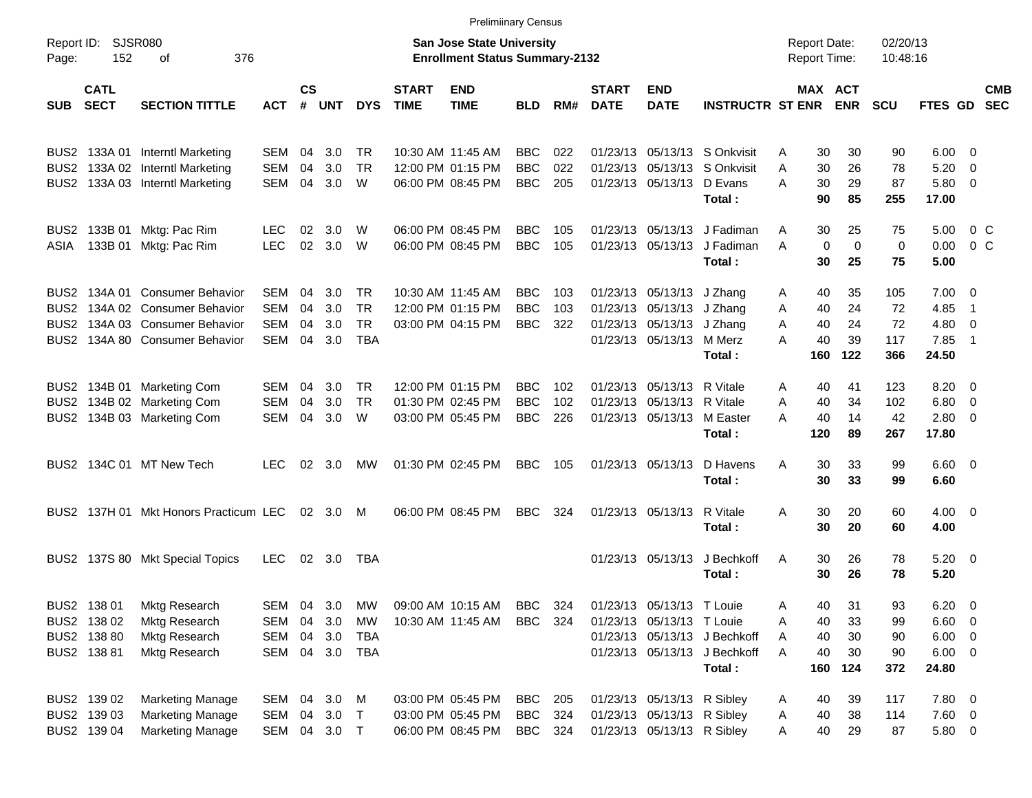|                     |                            |                                                                    |                                                                           |                    |            |                         |                             | <b>Prelimiinary Census</b>             |                          |            |                             |                                                          |                                                            |                             |                      |                   |                         |                                                     |                          |
|---------------------|----------------------------|--------------------------------------------------------------------|---------------------------------------------------------------------------|--------------------|------------|-------------------------|-----------------------------|----------------------------------------|--------------------------|------------|-----------------------------|----------------------------------------------------------|------------------------------------------------------------|-----------------------------|----------------------|-------------------|-------------------------|-----------------------------------------------------|--------------------------|
| Report ID:<br>Page: | <b>SJSR080</b><br>152      |                                                                    | <b>San Jose State University</b><br><b>Enrollment Status Summary-2132</b> |                    |            |                         |                             |                                        |                          |            |                             |                                                          | <b>Report Date:</b><br><b>Report Time:</b>                 |                             | 02/20/13<br>10:48:16 |                   |                         |                                                     |                          |
| <b>SUB</b>          | <b>CATL</b><br><b>SECT</b> | <b>SECTION TITTLE</b>                                              | <b>ACT</b>                                                                | $\mathsf{cs}$<br># | UNT        | <b>DYS</b>              | <b>START</b><br><b>TIME</b> | <b>END</b><br><b>TIME</b>              | <b>BLD</b>               | RM#        | <b>START</b><br><b>DATE</b> | <b>END</b><br><b>DATE</b>                                | <b>INSTRUCTR ST ENR ENR</b>                                | <b>MAX ACT</b>              |                      | <b>SCU</b>        | FTES GD                 |                                                     | <b>CMB</b><br><b>SEC</b> |
|                     |                            | BUS2 133A 01 Interntl Marketing                                    | SEM                                                                       | 04                 | 3.0        | TR                      |                             | 10:30 AM 11:45 AM                      | BBC                      | 022        |                             |                                                          | 01/23/13 05/13/13 S Onkvisit                               | 30<br>Α                     | 30                   | 90                | $6.00 \quad 0$          |                                                     |                          |
|                     |                            | BUS2 133A 02 Interntl Marketing<br>BUS2 133A 03 Interntl Marketing | SEM<br>SEM                                                                | 04<br>04           | 3.0<br>3.0 | <b>TR</b><br>W          |                             | 12:00 PM 01:15 PM<br>06:00 PM 08:45 PM | <b>BBC</b><br><b>BBC</b> | 022<br>205 |                             | 01/23/13 05/13/13 D Evans                                | 01/23/13 05/13/13 S Onkvisit<br>Total:                     | 30<br>A<br>30<br>Α<br>90    | 26<br>29<br>85       | 78<br>87<br>255   | 5.20<br>5.80 0<br>17.00 | $\overline{\phantom{0}}$                            |                          |
| BUS2<br>ASIA        |                            | 133B 01 Mktg: Pac Rim<br>133B 01 Mktg: Pac Rim                     | LEC<br><b>LEC</b>                                                         | 02<br>02           | 3.0<br>3.0 | W<br>W                  | 06:00 PM 08:45 PM           | 06:00 PM 08:45 PM                      | BBC<br><b>BBC</b>        | 105<br>105 |                             |                                                          | 01/23/13 05/13/13 J Fadiman<br>01/23/13 05/13/13 J Fadiman | 30<br>Α<br>$\mathbf 0$<br>A | 25<br>$\Omega$       | 75<br>$\mathbf 0$ | 5.00<br>0.00            | $0\,$ C<br>0 <sup>o</sup>                           |                          |
|                     |                            |                                                                    |                                                                           |                    |            |                         |                             |                                        |                          |            |                             |                                                          | Total :                                                    | 30                          | 25                   | 75                | 5.00                    |                                                     |                          |
| BUS2                |                            | BUS2 134A 01 Consumer Behavior<br>134A 02 Consumer Behavior        | SEM<br>SEM                                                                | 04<br>04           | 3.0<br>3.0 | TR<br><b>TR</b>         |                             | 10:30 AM 11:45 AM<br>12:00 PM 01:15 PM | <b>BBC</b><br><b>BBC</b> | 103<br>103 |                             | 01/23/13 05/13/13 J Zhang<br>01/23/13 05/13/13 J Zhang   |                                                            | 40<br>Α<br>40<br>A          | 35<br>24             | 105<br>72         | $7.00 \t 0$<br>4.85     | $\overline{1}$                                      |                          |
|                     |                            | BUS2 134A 03 Consumer Behavior<br>BUS2 134A 80 Consumer Behavior   | SEM<br>SEM                                                                | 04<br>04           | 3.0<br>3.0 | <b>TR</b><br><b>TBA</b> |                             | 03:00 PM 04:15 PM                      | <b>BBC</b>               | 322        |                             | 01/23/13 05/13/13 J Zhang<br>01/23/13 05/13/13 M Merz    |                                                            | 40<br>A<br>40<br>Α          | 24<br>39             | 72<br>117         | 4.80<br>7.85            | $\overline{\mathbf{0}}$<br>$\overline{\phantom{1}}$ |                          |
|                     |                            |                                                                    |                                                                           |                    |            |                         |                             |                                        |                          |            |                             |                                                          | Total:                                                     | 160                         | 122                  | 366               | 24.50                   |                                                     |                          |
|                     |                            | BUS2 134B 01 Marketing Com<br>BUS2 134B 02 Marketing Com           | SEM<br>SEM                                                                | 04<br>04           | 3.0<br>3.0 | TR.<br><b>TR</b>        |                             | 12:00 PM 01:15 PM<br>01:30 PM 02:45 PM | BBC<br><b>BBC</b>        | 102<br>102 |                             | 01/23/13 05/13/13 R Vitale<br>01/23/13 05/13/13 R Vitale |                                                            | 40<br>A<br>40<br>Α          | 41<br>34             | 123<br>102        | $8.20 \ 0$<br>6.80      | $\overline{\phantom{0}}$                            |                          |
|                     |                            | BUS2 134B 03 Marketing Com                                         | SEM                                                                       | 04                 | 3.0        | W                       |                             | 03:00 PM 05:45 PM                      | <b>BBC</b>               | 226        |                             | 01/23/13 05/13/13 M Easter                               | Total:                                                     | 40<br>A<br>120              | 14<br>89             | 42<br>267         | $2.80 \t 0$<br>17.80    |                                                     |                          |
|                     |                            | BUS2 134C 01 MT New Tech                                           | <b>LEC</b>                                                                | 02                 | 3.0        | MW                      | 01:30 PM 02:45 PM           |                                        | <b>BBC</b>               | 105        |                             | 01/23/13 05/13/13                                        | D Havens<br>Total:                                         | 30<br>Α<br>30               | 33<br>33             | 99<br>99          | $6.60$ 0<br>6.60        |                                                     |                          |
|                     |                            | BUS2 137H 01 Mkt Honors Practicum LEC                              |                                                                           |                    | 02 3.0     | M                       | 06:00 PM 08:45 PM           |                                        | <b>BBC</b>               | 324        |                             | 01/23/13 05/13/13 R Vitale                               | Total:                                                     | 30<br>A<br>30               | 20<br>20             | 60<br>60          | $4.00 \ 0$<br>4.00      |                                                     |                          |
|                     |                            | BUS2 137S 80 Mkt Special Topics                                    | <b>LEC</b>                                                                |                    | 02 3.0     | TBA                     |                             |                                        |                          |            |                             | 01/23/13 05/13/13                                        | J Bechkoff<br>Total:                                       | Α<br>30<br>30               | 26<br>26             | 78<br>78          | $5.20 \ 0$<br>5.20      |                                                     |                          |
|                     | BUS2 138 01                | Mktg Research                                                      | SEM                                                                       | 04                 | 3.0        | MW                      |                             | 09:00 AM 10:15 AM                      | BBC                      | 324        |                             | 01/23/13 05/13/13 T Louie                                |                                                            | 40<br>Α                     | 31                   | 93                | 6.20                    | $\overline{\mathbf{0}}$                             |                          |
|                     | BUS2 138 02                | Mktg Research                                                      | SEM                                                                       | 04                 | 3.0        | MW                      |                             | 10:30 AM 11:45 AM                      | <b>BBC</b>               | 324        |                             | 01/23/13 05/13/13 T Louie                                |                                                            | 40<br>Α                     | 33                   | 99                | $6.60$ 0                |                                                     |                          |
|                     | BUS2 138 80                | Mktg Research                                                      | SEM                                                                       | 04                 | 3.0        | TBA                     |                             |                                        |                          |            |                             |                                                          | 01/23/13 05/13/13 J Bechkoff                               | 40<br>A                     | 30                   | 90                | $6.00 \t 0$             |                                                     |                          |
|                     | BUS2 138 81                | Mktg Research                                                      | SEM                                                                       |                    | 04 3.0 TBA |                         |                             |                                        |                          |            |                             |                                                          | 01/23/13 05/13/13 J Bechkoff<br>Total:                     | 40<br>Α<br>160              | 30<br>124            | 90<br>372         | $6.00 \t 0$<br>24.80    |                                                     |                          |
|                     | BUS2 139 02                | <b>Marketing Manage</b>                                            | SEM 04                                                                    |                    | 3.0        | M                       |                             | 03:00 PM 05:45 PM                      | BBC                      | 205        |                             | 01/23/13 05/13/13 R Sibley                               |                                                            | 40<br>A                     | 39                   | 117               | 7.80 0                  |                                                     |                          |
|                     | BUS2 139 03                | <b>Marketing Manage</b>                                            | SEM 04 3.0 T                                                              |                    |            |                         |                             | 03:00 PM 05:45 PM                      | <b>BBC</b>               | 324        |                             | 01/23/13 05/13/13 R Sibley                               |                                                            | 40<br>A                     | 38                   | 114               | $7.60 \t 0$             |                                                     |                          |
|                     | BUS2 139 04                | <b>Marketing Manage</b>                                            | SEM 04 3.0 T                                                              |                    |            |                         |                             | 06:00 PM 08:45 PM                      | <b>BBC</b>               | 324        |                             | 01/23/13 05/13/13 R Sibley                               |                                                            | 40<br>Α                     | 29                   | 87                | 5.80 0                  |                                                     |                          |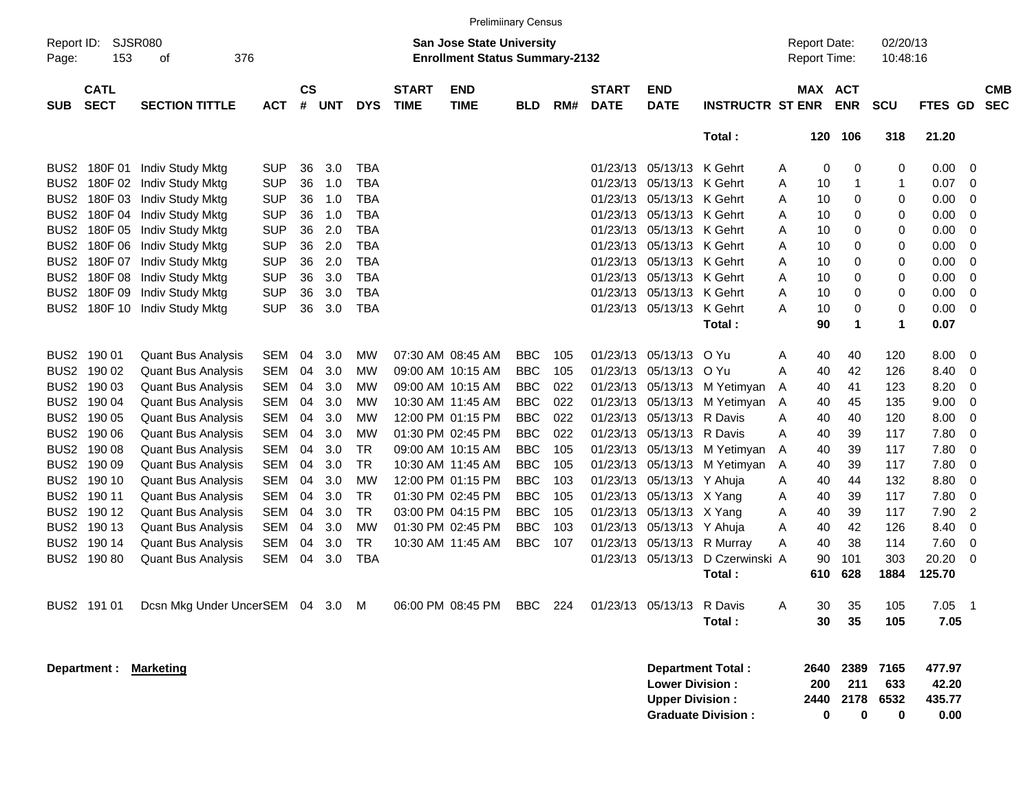|                  |                                                                                                                        |                                  |            |                |     |            |                             |                           | <b>Prelimiinary Census</b> |     |                                     |                           |                         |                      |             |              |             |                   |                          |
|------------------|------------------------------------------------------------------------------------------------------------------------|----------------------------------|------------|----------------|-----|------------|-----------------------------|---------------------------|----------------------------|-----|-------------------------------------|---------------------------|-------------------------|----------------------|-------------|--------------|-------------|-------------------|--------------------------|
| Page:            | SJSR080<br><b>San Jose State University</b><br>Report ID:<br>153<br>376<br><b>Enrollment Status Summary-2132</b><br>οf |                                  |            |                |     |            |                             |                           |                            |     | <b>Report Date:</b><br>Report Time: |                           |                         | 02/20/13<br>10:48:16 |             |              |             |                   |                          |
| <b>SUB</b>       | <b>CATL</b><br><b>SECT</b>                                                                                             | <b>SECTION TITTLE</b>            | <b>ACT</b> | <b>CS</b><br># | UNT | <b>DYS</b> | <b>START</b><br><b>TIME</b> | <b>END</b><br><b>TIME</b> | <b>BLD</b>                 | RM# | <b>START</b><br><b>DATE</b>         | <b>END</b><br><b>DATE</b> | <b>INSTRUCTR ST ENR</b> |                      | MAX ACT     | <b>ENR</b>   | <b>SCU</b>  | <b>FTES</b><br>GD | <b>CMB</b><br><b>SEC</b> |
|                  |                                                                                                                        |                                  |            |                |     |            |                             |                           |                            |     |                                     |                           | Total:                  |                      | 120         | 106          | 318         | 21.20             |                          |
| BUS <sub>2</sub> |                                                                                                                        | 180F 01 Indiv Study Mktg         | <b>SUP</b> | 36             | 3.0 | <b>TBA</b> |                             |                           |                            |     | 01/23/13                            | 05/13/13                  | K Gehrt                 | A                    | 0           | 0            | 0           | 0.00              | 0                        |
| BUS <sub>2</sub> |                                                                                                                        | 180F 02 Indiv Study Mktg         | <b>SUP</b> | 36             | 1.0 | <b>TBA</b> |                             |                           |                            |     | 01/23/13                            | 05/13/13                  | K Gehrt                 | A                    | 10          | $\mathbf{1}$ | 1           | 0.07              | 0                        |
| BUS <sub>2</sub> |                                                                                                                        | 180F 03 Indiv Study Mktg         | <b>SUP</b> | 36             | 1.0 | <b>TBA</b> |                             |                           |                            |     | 01/23/13                            | 05/13/13                  | K Gehrt                 | Α                    | 10          | 0            | 0           | 0.00              | 0                        |
| BUS <sub>2</sub> |                                                                                                                        | 180F 04 Indiv Study Mktg         | <b>SUP</b> | 36             | 1.0 | <b>TBA</b> |                             |                           |                            |     | 01/23/13                            | 05/13/13                  | K Gehrt                 | Α                    | 10          | 0            | 0           | 0.00              | 0                        |
| BUS <sub>2</sub> |                                                                                                                        | 180F 05 Indiv Study Mktg         | <b>SUP</b> | 36             | 2.0 | <b>TBA</b> |                             |                           |                            |     | 01/23/13                            | 05/13/13                  | K Gehrt                 | Α                    | 10          | 0            | 0           | 0.00              | 0                        |
| BUS <sub>2</sub> |                                                                                                                        | 180F 06 Indiv Study Mktg         | <b>SUP</b> | 36             | 2.0 | <b>TBA</b> |                             |                           |                            |     | 01/23/13                            | 05/13/13                  | K Gehrt                 | Α                    | 10          | 0            | 0           | 0.00              | 0                        |
| BUS <sub>2</sub> |                                                                                                                        | 180F 07 Indiv Study Mktg         | <b>SUP</b> | 36             | 2.0 | <b>TBA</b> |                             |                           |                            |     | 01/23/13                            | 05/13/13                  | K Gehrt                 | Α                    | 10          | 0            | 0           | 0.00              | 0                        |
| BUS <sub>2</sub> |                                                                                                                        | 180F 08 Indiv Study Mktg         | <b>SUP</b> | 36             | 3.0 | <b>TBA</b> |                             |                           |                            |     | 01/23/13                            | 05/13/13                  | K Gehrt                 | Α                    | 10          | 0            | 0           | 0.00              | 0                        |
| BUS <sub>2</sub> |                                                                                                                        | 180F 09 Indiv Study Mktg         | <b>SUP</b> | 36             | 3.0 | <b>TBA</b> |                             |                           |                            |     | 01/23/13                            | 05/13/13                  | K Gehrt                 | Α                    | 10          | 0            | 0           | 0.00              | 0                        |
| BUS <sub>2</sub> |                                                                                                                        | 180F 10 Indiv Study Mktg         | <b>SUP</b> | 36             | 3.0 | <b>TBA</b> |                             |                           |                            |     | 01/23/13                            | 05/13/13                  | K Gehrt                 | Α                    | 10          | 0            | 0           | 0.00              | 0                        |
|                  |                                                                                                                        |                                  |            |                |     |            |                             |                           |                            |     |                                     |                           | Total:                  |                      | 90          | $\mathbf{1}$ | 1           | 0.07              |                          |
| BUS <sub>2</sub> | 190 01                                                                                                                 | <b>Quant Bus Analysis</b>        | SEM        | 04             | 3.0 | МW         |                             | 07:30 AM 08:45 AM         | <b>BBC</b>                 | 105 | 01/23/13                            | 05/13/13                  | O Yu                    | A                    | 40          | 40           | 120         | 8.00              | 0                        |
| BUS <sub>2</sub> | 190 02                                                                                                                 | <b>Quant Bus Analysis</b>        | SEM        | 04             | 3.0 | МW         |                             | 09:00 AM 10:15 AM         | <b>BBC</b>                 | 105 | 01/23/13                            | 05/13/13                  | O Yu                    | A                    | 40          | 42           | 126         | 8.40              | 0                        |
| BUS <sub>2</sub> | 190 03                                                                                                                 | <b>Quant Bus Analysis</b>        | SEM        | 04             | 3.0 | МW         |                             | 09:00 AM 10:15 AM         | <b>BBC</b>                 | 022 | 01/23/13                            | 05/13/13                  | M Yetimyan              | A                    | 40          | 41           | 123         | 8.20              | 0                        |
| BUS <sub>2</sub> | 190 04                                                                                                                 | <b>Quant Bus Analysis</b>        | SEM        | 04             | 3.0 | МW         |                             | 10:30 AM 11:45 AM         | <b>BBC</b>                 | 022 | 01/23/13                            | 05/13/13                  | M Yetimyan A            |                      | 40          | 45           | 135         | 9.00              | 0                        |
| BUS <sub>2</sub> | 190 05                                                                                                                 | <b>Quant Bus Analysis</b>        | SEM        | 04             | 3.0 | МW         |                             | 12:00 PM 01:15 PM         | <b>BBC</b>                 | 022 | 01/23/13                            | 05/13/13                  | R Davis                 | Α                    | 40          | 40           | 120         | 8.00              | 0                        |
| BUS <sub>2</sub> | 190 06                                                                                                                 | <b>Quant Bus Analysis</b>        | SEM        | 04             | 3.0 | МW         |                             | 01:30 PM 02:45 PM         | <b>BBC</b>                 | 022 | 01/23/13                            | 05/13/13                  | R Davis                 | Α                    | 40          | 39           | 117         | 7.80              | 0                        |
| BUS <sub>2</sub> | 190 08                                                                                                                 | <b>Quant Bus Analysis</b>        | SEM        | 04             | 3.0 | <b>TR</b>  |                             | 09:00 AM 10:15 AM         | <b>BBC</b>                 | 105 | 01/23/13                            | 05/13/13                  | M Yetimyan              | A                    | 40          | 39           | 117         | 7.80              | 0                        |
| BUS <sub>2</sub> | 190 09                                                                                                                 | <b>Quant Bus Analysis</b>        | SEM        | 04             | 3.0 | <b>TR</b>  |                             | 10:30 AM 11:45 AM         | <b>BBC</b>                 | 105 | 01/23/13                            | 05/13/13                  | M Yetimyan              | A                    | 40          | 39           | 117         | 7.80              | 0                        |
| BUS <sub>2</sub> | 190 10                                                                                                                 | <b>Quant Bus Analysis</b>        | SEM        | 04             | 3.0 | МW         |                             | 12:00 PM 01:15 PM         | <b>BBC</b>                 | 103 | 01/23/13                            | 05/13/13                  | Y Ahuja                 | Α                    | 40          | 44           | 132         | 8.80              | 0                        |
| BUS <sub>2</sub> | 190 11                                                                                                                 | <b>Quant Bus Analysis</b>        | SEM        | 04             | 3.0 | <b>TR</b>  |                             | 01:30 PM 02:45 PM         | <b>BBC</b>                 | 105 | 01/23/13                            | 05/13/13                  | X Yang                  | Α                    | 40          | 39           | 117         | 7.80              | 0                        |
| BUS <sub>2</sub> | 190 12                                                                                                                 | <b>Quant Bus Analysis</b>        | SEM        | 04             | 3.0 | <b>TR</b>  |                             | 03:00 PM 04:15 PM         | <b>BBC</b>                 | 105 | 01/23/13                            | 05/13/13                  | X Yang                  | Α                    | 40          | 39           | 117         | 7.90              | $\overline{2}$           |
| BUS <sub>2</sub> | 190 13                                                                                                                 | <b>Quant Bus Analysis</b>        | SEM        | 04             | 3.0 | МW         |                             | 01:30 PM 02:45 PM         | <b>BBC</b>                 | 103 | 01/23/13                            | 05/13/13                  | Y Ahuja                 | A                    | 40          | 42           | 126         | 8.40              | 0                        |
| BUS <sub>2</sub> | 190 14                                                                                                                 | <b>Quant Bus Analysis</b>        | SEM        | 04             | 3.0 | <b>TR</b>  |                             | 10:30 AM 11:45 AM         | <b>BBC</b>                 | 107 | 01/23/13                            | 05/13/13                  | R Murray                | Α                    | 40          | 38           | 114         | 7.60              | 0                        |
| BUS <sub>2</sub> | 19080                                                                                                                  | <b>Quant Bus Analysis</b>        | SEM        | 04             | 3.0 | <b>TBA</b> |                             |                           |                            |     | 01/23/13                            | 05/13/13                  | D Czerwinski A          |                      | 90          | 101          | 303         | 20.20             | 0                        |
|                  |                                                                                                                        |                                  |            |                |     |            |                             |                           |                            |     |                                     |                           | Total:                  |                      | 610         | 628          | 1884        | 125.70            |                          |
|                  | BUS2 191 01                                                                                                            | Dcsn Mkg Under UncerSEM 04 3.0 M |            |                |     |            |                             | 06:00 PM 08:45 PM         | BBC                        | 224 |                                     | 01/23/13 05/13/13 R Davis |                         | Α                    | 30          | 35           | 105         | $7.05$ 1          |                          |
|                  |                                                                                                                        |                                  |            |                |     |            |                             |                           |                            |     |                                     |                           | Total:                  |                      | 30          | 35           | 105         | 7.05              |                          |
|                  |                                                                                                                        | Department : Marketing           |            |                |     |            |                             |                           |                            |     |                                     | <b>Lower Division:</b>    | Department Total :      |                      | 2640<br>200 | 2389<br>211  | 7165<br>633 | 477.97<br>42.20   |                          |
|                  |                                                                                                                        |                                  |            |                |     |            |                             |                           |                            |     |                                     | <b>Upper Division:</b>    |                         |                      | 2440        |              | 2178 6532   | 435.77            |                          |

**Graduate Division : 0 0 0 0.00**